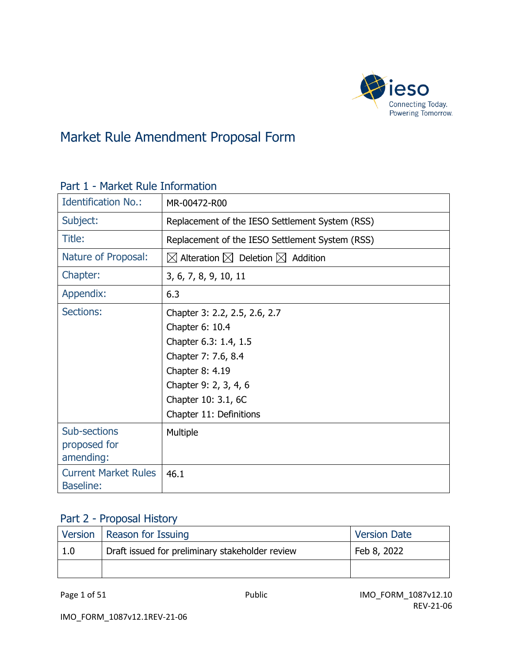

# Market Rule Amendment Proposal Form

| <b>Identification No.:</b>                      | MR-00472-R00                                                                                                                                                                                   |
|-------------------------------------------------|------------------------------------------------------------------------------------------------------------------------------------------------------------------------------------------------|
| Subject:                                        | Replacement of the IESO Settlement System (RSS)                                                                                                                                                |
| Title:                                          | Replacement of the IESO Settlement System (RSS)                                                                                                                                                |
| Nature of Proposal:                             | $\boxtimes$ Alteration $\boxtimes$ Deletion $\boxtimes$ Addition                                                                                                                               |
| Chapter:                                        | 3, 6, 7, 8, 9, 10, 11                                                                                                                                                                          |
| Appendix:                                       | 6.3                                                                                                                                                                                            |
| <b>Sections:</b>                                | Chapter 3: 2.2, 2.5, 2.6, 2.7<br>Chapter 6: 10.4<br>Chapter 6.3: 1.4, 1.5<br>Chapter 7: 7.6, 8.4<br>Chapter 8: 4.19<br>Chapter 9: 2, 3, 4, 6<br>Chapter 10: 3.1, 6C<br>Chapter 11: Definitions |
| Sub-sections<br>proposed for<br>amending:       | Multiple                                                                                                                                                                                       |
| <b>Current Market Rules</b><br><b>Baseline:</b> | 46.1                                                                                                                                                                                           |

#### Part 1 - Market Rule Information

## Part 2 - Proposal History

|     | Version   Reason for Issuing                    | <b>Version Date</b> |
|-----|-------------------------------------------------|---------------------|
| 1.0 | Draft issued for preliminary stakeholder review | Feb 8, 2022         |
|     |                                                 |                     |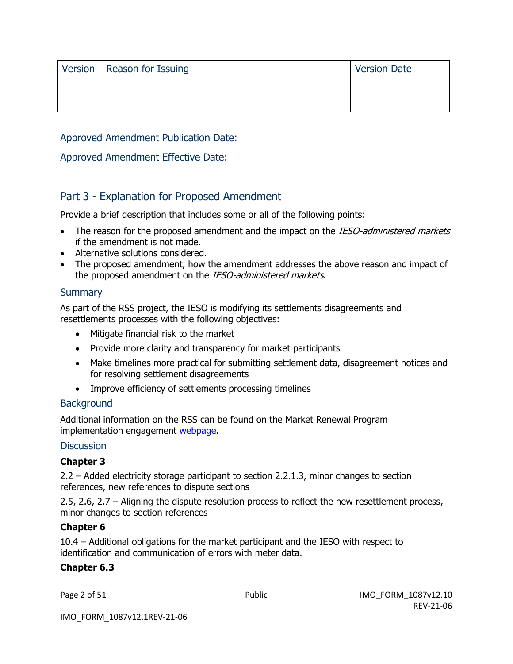| Version   Reason for Issuing | <b>Version Date</b> |
|------------------------------|---------------------|
|                              |                     |
|                              |                     |

Approved Amendment Publication Date:

#### Approved Amendment Effective Date:

#### Part 3 - Explanation for Proposed Amendment

Provide a brief description that includes some or all of the following points:

- The reason for the proposed amendment and the impact on the IESO-administered markets if the amendment is not made.
- Alternative solutions considered.
- The proposed amendment, how the amendment addresses the above reason and impact of the proposed amendment on the IESO-administered markets.

#### **Summary**

As part of the RSS project, the IESO is modifying its settlements disagreements and resettlements processes with the following objectives:

- Mitigate financial risk to the market
- Provide more clarity and transparency for market participants
- Make timelines more practical for submitting settlement data, disagreement notices and for resolving settlement disagreements
- Improve efficiency of settlements processing timelines

#### **Background**

Additional information on the RSS can be found on the Market Renewal Program implementation engagement [webpage.](https://www.ieso.ca/en/Market-Renewal/Stakeholder-Engagements/Implementation-Engagement-Market-Rules-and-Market-Manuals)

#### **Discussion**

#### **Chapter 3**

2.2 – Added electricity storage participant to section 2.2.1.3, minor changes to section references, new references to dispute sections

2.5, 2.6, 2.7 – Aligning the dispute resolution process to reflect the new resettlement process, minor changes to section references

#### **Chapter 6**

10.4 – Additional obligations for the market participant and the IESO with respect to identification and communication of errors with meter data.

#### **Chapter 6.3**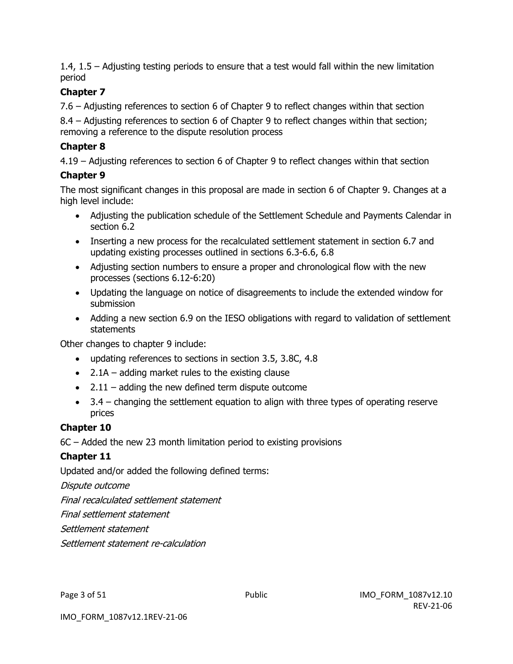1.4, 1.5 – Adjusting testing periods to ensure that a test would fall within the new limitation period

#### **Chapter 7**

7.6 – Adjusting references to section 6 of Chapter 9 to reflect changes within that section

8.4 – Adjusting references to section 6 of Chapter 9 to reflect changes within that section; removing a reference to the dispute resolution process

#### **Chapter 8**

4.19 – Adjusting references to section 6 of Chapter 9 to reflect changes within that section

#### **Chapter 9**

The most significant changes in this proposal are made in section 6 of Chapter 9. Changes at a high level include:

- Adjusting the publication schedule of the Settlement Schedule and Payments Calendar in section 6.2
- Inserting a new process for the recalculated settlement statement in section 6.7 and updating existing processes outlined in sections 6.3-6.6, 6.8
- Adjusting section numbers to ensure a proper and chronological flow with the new processes (sections 6.12-6:20)
- Updating the language on notice of disagreements to include the extended window for submission
- Adding a new section 6.9 on the IESO obligations with regard to validation of settlement statements

Other changes to chapter 9 include:

- updating references to sections in section 3.5, 3.8C, 4.8
- $\bullet$  2.1A adding market rules to the existing clause
- $\bullet$  2.11 adding the new defined term dispute outcome
- 3.4 changing the settlement equation to align with three types of operating reserve prices

#### **Chapter 10**

6C – Added the new 23 month limitation period to existing provisions

#### **Chapter 11**

Updated and/or added the following defined terms:

Dispute outcome

Final recalculated settlement statement

Final settlement statement

Settlement statement

Settlement statement re-calculation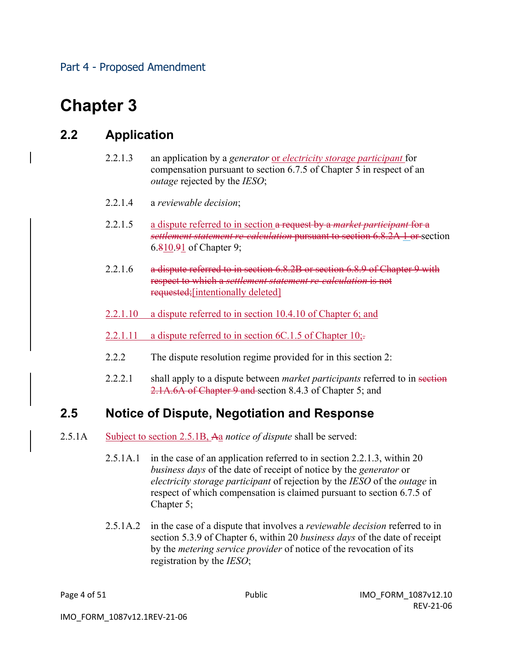# **Chapter 3**

### **2.2 Application**

- 2.2.1.3 an application by a *generator* or *electricity storage participant* for compensation pursuant to section 6.7.5 of Chapter 5 in respect of an *outage* rejected by the *IESO*;
- 2.2.1.4 a *reviewable decision*;
- 2.2.1.5 a dispute referred to in section a request by a *market participant* for a *settlement statement re-calculation* pursuant to section 6.8.2A 1 or section 6.810.91 of Chapter 9;
- 2.2.1.6 a dispute referred to in section 6.8.2B or section 6.8.9 of Chapter 9 with respect to which a *settlement statement re-calculation* is not requested;[intentionally deleted]
- 2.2.1.10 a dispute referred to in section 10.4.10 of Chapter 6; and
- 2.2.1.11 a dispute referred to in section  $6C.1.5$  of Chapter 10;
- 2.2.2 The dispute resolution regime provided for in this section 2:
- 2.2.2.1 shall apply to a dispute between *market participants* referred to in section 2.1A.6A of Chapter 9 and section 8.4.3 of Chapter 5; and

### **2.5 Notice of Dispute, Negotiation and Response**

- 2.5.1A Subject to section 2.5.1B, Aa *notice of dispute* shall be served:
	- 2.5.1A.1 in the case of an application referred to in section 2.2.1.3, within 20 *business days* of the date of receipt of notice by the *generator* or *electricity storage participant* of rejection by the *IESO* of the *outage* in respect of which compensation is claimed pursuant to section 6.7.5 of Chapter 5;
	- 2.5.1A.2 in the case of a dispute that involves a *reviewable decision* referred to in section 5.3.9 of Chapter 6, within 20 *business days* of the date of receipt by the *metering service provider* of notice of the revocation of its registration by the *IESO*;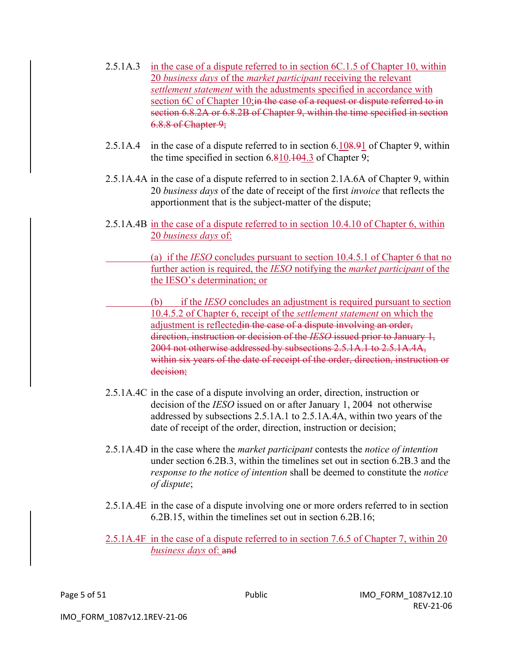- 2.5.1A.3 in the case of a dispute referred to in section 6C.1.5 of Chapter 10, within 20 *business days* of the *market participant* receiving the relevant *settlement statement* with the adustments specified in accordance with section 6C of Chapter 10; in the case of a request or dispute referred to in section 6.8.2A or 6.8.2B of Chapter 9, within the time specified in section 6.8.8 of Chapter 9;
- 2.5.1A.4 in the case of a dispute referred to in section 6.108.91 of Chapter 9, within the time specified in section 6.810.104.3 of Chapter 9;
- 2.5.1A.4A in the case of a dispute referred to in section 2.1A.6A of Chapter 9, within 20 *business days* of the date of receipt of the first *invoice* that reflects the apportionment that is the subject-matter of the dispute;
- 2.5.1A.4B in the case of a dispute referred to in section 10.4.10 of Chapter 6, within 20 *business days* of:

(a) if the *IESO* concludes pursuant to section 10.4.5.1 of Chapter 6 that no further action is required, the *IESO* notifying the *market participant* of the the IESO's determination; or

- (b) if the *IESO* concludes an adjustment is required pursuant to section 10.4.5.2 of Chapter 6, receipt of the *settlement statement* on which the adjustment is reflectedin the case of a dispute involving an order, direction, instruction or decision of the *IESO* issued prior to January 1, 2004 not otherwise addressed by subsections 2.5.1A.1 to 2.5.1A.4A, within six years of the date of receipt of the order, direction, instruction or decision;
- 2.5.1A.4C in the case of a dispute involving an order, direction, instruction or decision of the *IESO* issued on or after January 1, 2004 not otherwise addressed by subsections 2.5.1A.1 to 2.5.1A.4A, within two years of the date of receipt of the order, direction, instruction or decision;
- 2.5.1A.4D in the case where the *market participant* contests the *notice of intention*  under section 6.2B.3, within the timelines set out in section 6.2B.3 and the *response to the notice of intention* shall be deemed to constitute the *notice of dispute*;
- 2.5.1A.4E in the case of a dispute involving one or more orders referred to in section 6.2B.15, within the timelines set out in section 6.2B.16;
- 2.5.1A.4F in the case of a dispute referred to in section 7.6.5 of Chapter 7, within 20 *business days* of: and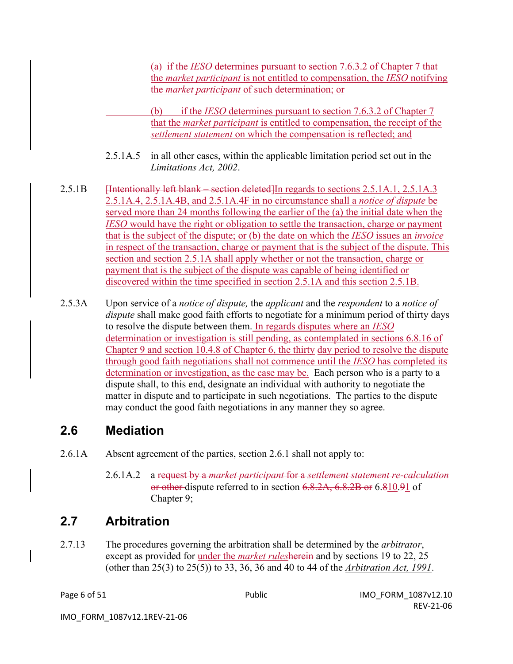(a) if the *IESO* determines pursuant to section 7.6.3.2 of Chapter 7 that the *market participant* is not entitled to compensation, the *IESO* notifying the *market participant* of such determination; or

(b) if the *IESO* determines pursuant to section 7.6.3.2 of Chapter 7 that the *market participant* is entitled to compensation, the receipt of the *settlement statement* on which the compensation is reflected; and

- 2.5.1A.5 in all other cases, within the applicable limitation period set out in the *Limitations Act, 2002*.
- 2.5.1B [Intentionally left blank section deleted]In regards to sections 2.5.1A.1, 2.5.1A.3 2.5.1A.4, 2.5.1A.4B, and 2.5.1A.4F in no circumstance shall a *notice of dispute* be served more than 24 months following the earlier of the (a) the initial date when the *IESO* would have the right or obligation to settle the transaction, charge or payment that is the subject of the dispute; or (b) the date on which the *IESO* issues an *invoice* in respect of the transaction, charge or payment that is the subject of the dispute. This section and section 2.5.1A shall apply whether or not the transaction, charge or payment that is the subject of the dispute was capable of being identified or discovered within the time specified in section 2.5.1A and this section 2.5.1B.
- 2.5.3A Upon service of a *notice of dispute,* the *applicant* and the *respondent* to a *notice of dispute* shall make good faith efforts to negotiate for a minimum period of thirty days to resolve the dispute between them. In regards disputes where an *IESO* determination or investigation is still pending, as contemplated in sections 6.8.16 of Chapter 9 and section 10.4.8 of Chapter 6, the thirty day period to resolve the dispute through good faith negotiations shall not commence until the *IESO* has completed its determination or investigation, as the case may be. Each person who is a party to a dispute shall, to this end, designate an individual with authority to negotiate the matter in dispute and to participate in such negotiations. The parties to the dispute may conduct the good faith negotiations in any manner they so agree.

### **2.6 Mediation**

- 2.6.1A Absent agreement of the parties, section 2.6.1 shall not apply to:
	- 2.6.1A.2 a request by a *market participant* for a *settlement statement re-calculation*  or other dispute referred to in section 6.8.2A, 6.8.2B or 6.810.91 of Chapter 9;

# **2.7 Arbitration**

2.7.13 The procedures governing the arbitration shall be determined by the *arbitrator*, except as provided for under the *market rules*herein and by sections 19 to 22, 25 (other than 25(3) to 25(5)) to 33, 36, 36 and 40 to 44 of the *Arbitration Act, 1991*.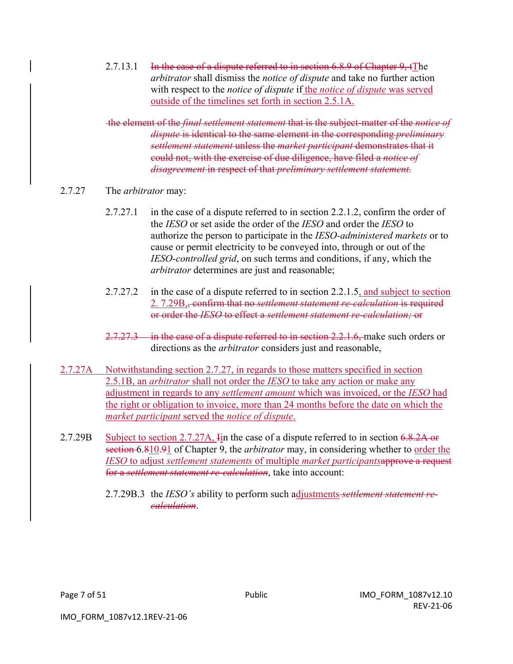2.7.13.1 In the case of a dispute referred to in section 6.8.9 of Chapter 9, tThe *arbitrator* shall dismiss the *notice of dispute* and take no further action with respect to the *notice of dispute* if the *notice of dispute* was served outside of the timelines set forth in section 2.5.1A.

the element of the *final settlement statement* that is the subject-matter of the *notice of dispute* is identical to the same element in the corresponding *preliminary settlement statement* unless the *market participant* demonstrates that it could not, with the exercise of due diligence, have filed a *notice of disagreement* in respect of that *preliminary settlement statement*.

#### 2.7.27 The *arbitrator* may:

- 2.7.27.1 in the case of a dispute referred to in section 2.2.1.2, confirm the order of the *IESO* or set aside the order of the *IESO* and order the *IESO* to authorize the person to participate in the *IESO-administered markets* or to cause or permit electricity to be conveyed into, through or out of the *IESO-controlled grid*, on such terms and conditions, if any, which the *arbitrator* determines are just and reasonable;
- 2.7.27.2 in the case of a dispute referred to in section 2.2.1.5, and subject to section 2. 7.29B,, confirm that no *settlement statement re-calculation* is required or order the *IESO* to effect a *settlement statement re-calculation;* or
- 2.7.27.3 in the case of a dispute referred to in section 2.2.1.6, make such orders or directions as the *arbitrator* considers just and reasonable,
- 2.7.27A Notwithstanding section 2.7.27, in regards to those matters specified in section 2.5.1B, an *arbitrator* shall not order the *IESO* to take any action or make any adjustment in regards to any *settlement amount* which was invoiced, or the *IESO* had the right or obligation to invoice, more than 24 months before the date on which the *market participant* served the *notice of dispute*.
- 2.7.29B Subject to section 2.7.27A, In the case of a dispute referred to in section 6.8.2A or section 6.810.91 of Chapter 9, the *arbitrator* may, in considering whether to <u>order the</u> *IESO* to adjust *settlement statements* of multiple *market participants*approve a request for a *settlement statement re-calculation*, take into account:
	- 2.7.29B.3 the *IESO's* ability to perform such adjustments *settlement statement recalculation*.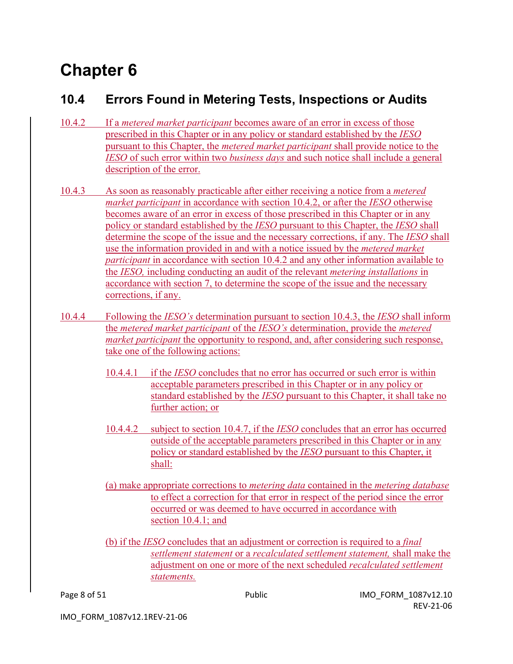# **Chapter 6**

# **10.4 Errors Found in Metering Tests, Inspections or Audits**

- 10.4.2 If a *metered market participant* becomes aware of an error in excess of those prescribed in this Chapter or in any policy or standard established by the *IESO*  pursuant to this Chapter, the *metered market participant* shall provide notice to the *IESO* of such error within two *business days* and such notice shall include a general description of the error.
- 10.4.3 As soon as reasonably practicable after either receiving a notice from a *metered market participant* in accordance with section 10.4.2, or after the *IESO* otherwise becomes aware of an error in excess of those prescribed in this Chapter or in any policy or standard established by the *IESO* pursuant to this Chapter, the *IESO* shall determine the scope of the issue and the necessary corrections, if any. The *IESO* shall use the information provided in and with a notice issued by the *metered market participant* in accordance with section 10.4.2 and any other information available to the *IESO,* including conducting an audit of the relevant *metering installations* in accordance with section 7, to determine the scope of the issue and the necessary corrections, if any.
- 10.4.4 Following the *IESO's* determination pursuant to section 10.4.3, the *IESO* shall inform the *metered market participant* of the *IESO's* determination, provide the *metered market participant* the opportunity to respond, and, after considering such response, take one of the following actions:
	- 10.4.4.1 if the *IESO* concludes that no error has occurred or such error is within acceptable parameters prescribed in this Chapter or in any policy or standard established by the *IESO* pursuant to this Chapter, it shall take no further action; or
	- 10.4.4.2 subject to section 10.4.7, if the *IESO* concludes that an error has occurred outside of the acceptable parameters prescribed in this Chapter or in any policy or standard established by the *IESO* pursuant to this Chapter, it shall:
	- (a) make appropriate corrections to *metering data* contained in the *metering database* to effect a correction for that error in respect of the period since the error occurred or was deemed to have occurred in accordance with section 10.4.1; and
	- (b) if the *IESO* concludes that an adjustment or correction is required to a *final settlement statement* or a *recalculated settlement statement,* shall make the adjustment on one or more of the next scheduled *recalculated settlement statements.*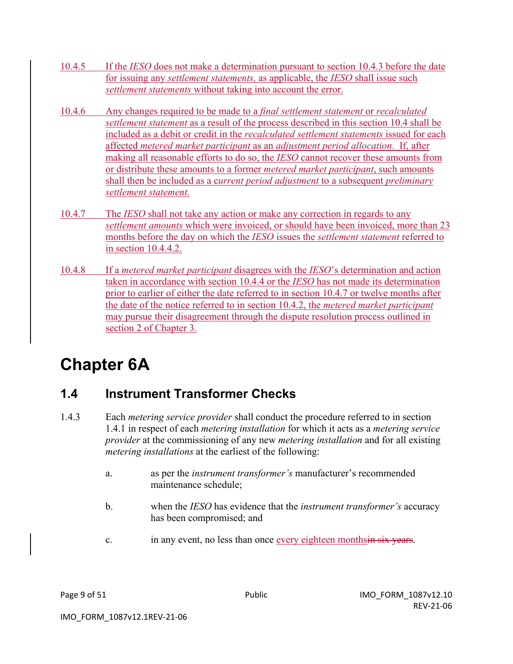- 10.4.5 If the *IESO* does not make a determination pursuant to section 10.4.3 before the date for issuing any *settlement statements,* as applicable, the *IESO* shall issue such *settlement statements* without taking into account the error.
- 10.4.6 Any changes required to be made to a *final settlement statement* or *recalculated settlement statement* as a result of the process described in this section 10.4 shall be included as a debit or credit in the *recalculated settlement statements* issued for each affected *metered market participant* as an *adjustment period allocation*. If, after making all reasonable efforts to do so, the *IESO* cannot recover these amounts from or distribute these amounts to a former *metered market participant*, such amounts shall then be included as a c*urrent period adjustment* to a subsequent *preliminary settlement statement.*
- 10.4.7 The *IESO* shall not take any action or make any correction in regards to any *settlement amounts* which were invoiced, or should have been invoiced, more than 23 months before the day on which the *IESO* issues the *settlement statement* referred to in section 10.4.4.2.
- 10.4.8 If a *metered market participant* disagrees with the *IESO*'s determination and action taken in accordance with section 10.4.4 or the *IESO* has not made its determination prior to earlier of either the date referred to in section 10.4.7 or twelve months after the date of the notice referred to in section 10.4.2, the *metered market participant* may pursue their disagreement through the dispute resolution process outlined in section 2 of Chapter 3.

# **Chapter 6A**

# **1.4 Instrument Transformer Checks**

- 1.4.3 Each *metering service provider* shall conduct the procedure referred to in section 1.4.1 in respect of each *metering installation* for which it acts as a *metering service provider* at the commissioning of any new *metering installation* and for all existing *metering installations* at the earliest of the following:
	- a. as per the *instrument transformer's* manufacturer's recommended maintenance schedule;
	- b. when the *IESO* has evidence that the *instrument transformer's* accuracy has been compromised; and
	- c. in any event, no less than once every eighteen monthsin six years.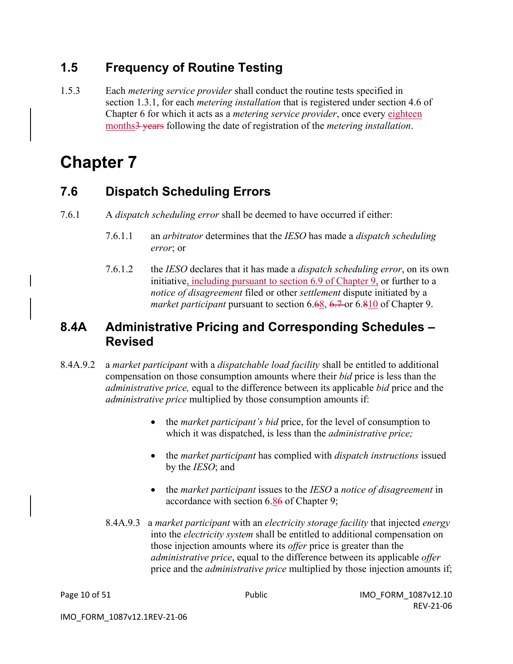# **1.5 Frequency of Routine Testing**

1.5.3 Each *metering service provider* shall conduct the routine tests specified in section 1.3.1, for each *metering installation* that is registered under section 4.6 of Chapter 6 for which it acts as a *metering service provider*, once every eighteen months3 years following the date of registration of the *metering installation*.

# **Chapter 7**

### **7.6 Dispatch Scheduling Errors**

- 7.6.1 A *dispatch scheduling error* shall be deemed to have occurred if either:
	- 7.6.1.1 an *arbitrator* determines that the *IESO* has made a *dispatch scheduling error*; or
	- 7.6.1.2 the *IESO* declares that it has made a *dispatch scheduling error*, on its own initiative, including pursuant to section 6.9 of Chapter 9, or further to a *notice of disagreement* filed or other *settlement* dispute initiated by a *market participant* pursuant to section 6.68, 6.7 or 6.810 of Chapter 9.

### **8.4A Administrative Pricing and Corresponding Schedules – Revised**

- 8.4A.9.2 a *market participant* with a *dispatchable load facility* shall be entitled to additional compensation on those consumption amounts where their *bid* price is less than the *administrative price,* equal to the difference between its applicable *bid* price and the *administrative price* multiplied by those consumption amounts if:
	- the *market participant's bid* price, for the level of consumption to which it was dispatched, is less than the *administrative price;*
	- the *market participant* has complied with *dispatch instructions* issued by the *IESO*; and
	- the *market participant* issues to the *IESO* a *notice of disagreement* in accordance with section 6.86 of Chapter 9;
	- 8.4A.9.3 a *market participant* with an *electricity storage facility* that injected *energy* into the *electricity system* shall be entitled to additional compensation on those injection amounts where its *offer* price is greater than the *administrative price*, equal to the difference between its applicable *offer* price and the *administrative price* multiplied by those injection amounts if;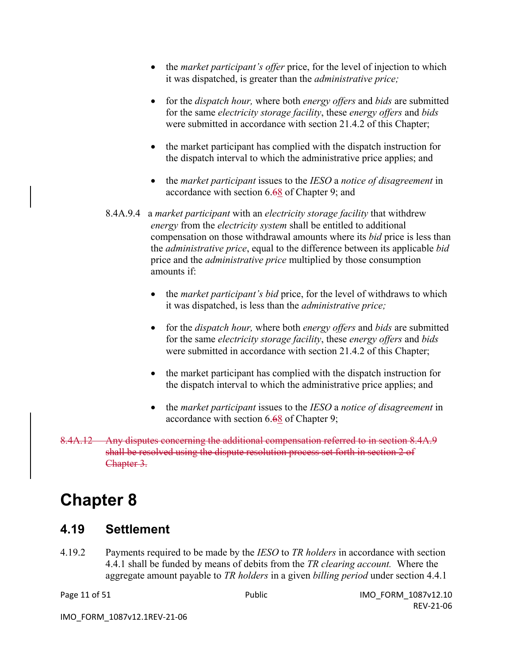- the *market participant's offer* price, for the level of injection to which it was dispatched, is greater than the *administrative price;*
- for the *dispatch hour,* where both *energy offers* and *bids* are submitted for the same *electricity storage facility*, these *energy offers* and *bids* were submitted in accordance with section 21.4.2 of this Chapter;
- the market participant has complied with the dispatch instruction for the dispatch interval to which the administrative price applies; and
- the *market participant* issues to the *IESO* a *notice of disagreement* in accordance with section 6.68 of Chapter 9; and
- 8.4A.9.4 a *market participant* with an *electricity storage facility* that withdrew *energy* from the *electricity system* shall be entitled to additional compensation on those withdrawal amounts where its *bid* price is less than the *administrative price*, equal to the difference between its applicable *bid* price and the *administrative price* multiplied by those consumption amounts if:
	- the *market participant's bid* price, for the level of withdraws to which it was dispatched, is less than the *administrative price;*
	- for the *dispatch hour,* where both *energy offers* and *bids* are submitted for the same *electricity storage facility*, these *energy offers* and *bids* were submitted in accordance with section 21.4.2 of this Chapter;
	- the market participant has complied with the dispatch instruction for the dispatch interval to which the administrative price applies; and
	- the *market participant* issues to the *IESO* a *notice of disagreement* in accordance with section 6.68 of Chapter 9;
- 8.4A.12 Any disputes concerning the additional compensation referred to in section 8.4A.9 shall be resolved using the dispute resolution process set forth in section 2 of Chapter 3.

# **Chapter 8**

### **4.19 Settlement**

4.19.2 Payments required to be made by the *IESO* to *TR holders* in accordance with section 4.4.1 shall be funded by means of debits from the *TR clearing account.* Where the aggregate amount payable to *TR holders* in a given *billing period* under section 4.4.1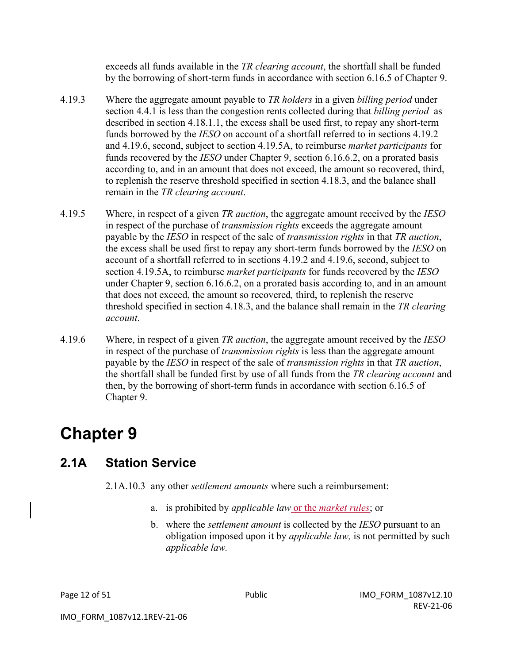exceeds all funds available in the *TR clearing account*, the shortfall shall be funded by the borrowing of short-term funds in accordance with section 6.16.5 of Chapter 9.

- 4.19.3 Where the aggregate amount payable to *TR holders* in a given *billing period* under section 4.4.1 is less than the congestion rents collected during that *billing period* as described in section 4.18.1.1, the excess shall be used first, to repay any short-term funds borrowed by the *IESO* on account of a shortfall referred to in sections 4.19.2 and 4.19.6, second, subject to section 4.19.5A, to reimburse *market participants* for funds recovered by the *IESO* under Chapter 9, section 6.16.6.2, on a prorated basis according to, and in an amount that does not exceed, the amount so recovered, third, to replenish the reserve threshold specified in section 4.18.3, and the balance shall remain in the *TR clearing account*.
- 4.19.5 Where, in respect of a given *TR auction*, the aggregate amount received by the *IESO*  in respect of the purchase of *transmission rights* exceeds the aggregate amount payable by the *IESO* in respect of the sale of *transmission rights* in that *TR auction*, the excess shall be used first to repay any short-term funds borrowed by the *IESO* on account of a shortfall referred to in sections 4.19.2 and 4.19.6, second, subject to section 4.19.5A, to reimburse *market participants* for funds recovered by the *IESO*  under Chapter 9, section 6.16.6.2, on a prorated basis according to, and in an amount that does not exceed, the amount so recovered*,* third, to replenish the reserve threshold specified in section 4.18.3, and the balance shall remain in the *TR clearing account*.
- 4.19.6 Where, in respect of a given *TR auction*, the aggregate amount received by the *IESO*  in respect of the purchase of *transmission rights* is less than the aggregate amount payable by the *IESO* in respect of the sale of *transmission rights* in that *TR auction*, the shortfall shall be funded first by use of all funds from the *TR clearing account* and then, by the borrowing of short-term funds in accordance with section 6.16.5 of Chapter 9.

# **Chapter 9**

### **2.1A Station Service**

2.1A.10.3 any other *settlement amounts* where such a reimbursement:

- a. is prohibited by *applicable law* or the *market rules*; or
- b. where the *settlement amount* is collected by the *IESO* pursuant to an obligation imposed upon it by *applicable law,* is not permitted by such *applicable law.*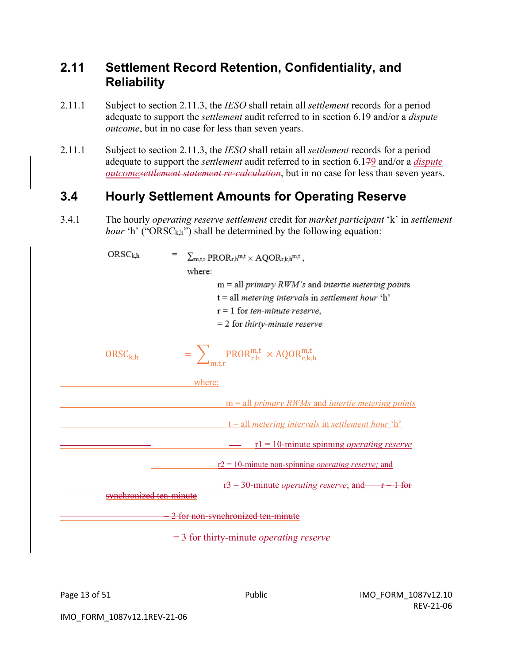### **2.11 Settlement Record Retention, Confidentiality, and Reliability**

- 2.11.1 Subject to section 2.11.3, the *IESO* shall retain all *settlement* records for a period adequate to support the *settlement* audit referred to in section 6.19 and/or a *dispute outcome*, but in no case for less than seven years.
- 2.11.1 Subject to section 2.11.3, the *IESO* shall retain all *settlement* records for a period adequate to support the *settlement* audit referred to in section 6.179 and/or a *dispute outcomesettlement statement re-calculation*, but in no case for less than seven years.

### **3.4 Hourly Settlement Amounts for Operating Reserve**

3.4.1 The hourly *operating reserve settlement* credit for *market participant* 'k' in *settlement hour* 'h' ("ORSC<sub>k,h</sub>") shall be determined by the following equation:

| ORSC <sub>kh</sub>      | $\sum_{m,tr}$ PROR <sub>r,h</sub> m,t × AQOR <sub>r,k,h</sub> m,t, |
|-------------------------|--------------------------------------------------------------------|
|                         | where:                                                             |
|                         | $m = all primary RWM's$ and intertie metering points               |
|                         | $t = all$ metering intervals in settlement hour 'h'                |
|                         | $r = 1$ for ten-minute reserve,                                    |
|                         | $= 2$ for thirty-minute reserve                                    |
| $ORSC_{k,h}$            | $=$ $\sum_{m+r}$ PROR <sup>m,t</sup> × AQOR <sup>m,t</sup>         |
|                         | where:                                                             |
|                         | $m = all primary RWMs$ and <i>intertie metering points</i>         |
|                         |                                                                    |
|                         | $t = all$ metering intervals in settlement hour 'h'                |
|                         | $r1 = 10$ -minute spinning <i>operating reserve</i>                |
|                         | $r2 = 10$ -minute non-spinning <i>operating reserve</i> ; and      |
|                         | $r3 = 30$ -minute <i>operating reserve</i> ; and $r = 1$ for       |
| synchronized ten-minute |                                                                    |
|                         | 2 for non-synchronized ten-minute                                  |
|                         | for thirty-minute <i>operating reserve</i>                         |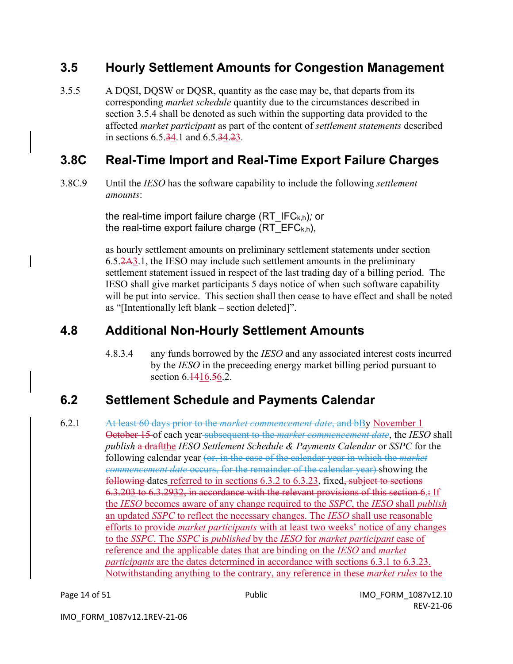### **3.5 Hourly Settlement Amounts for Congestion Management**

3.5.5 A DQSI, DQSW or DQSR, quantity as the case may be, that departs from its corresponding *market schedule* quantity due to the circumstances described in section 3.5.4 shall be denoted as such within the supporting data provided to the affected *market participant* as part of the content of *settlement statements* described in sections 6.5.34.1 and 6.5.34.23.

## **3.8C Real-Time Import and Real-Time Export Failure Charges**

3.8C.9 Until the *IESO* has the software capability to include the following *settlement amounts*:

> the real-time import failure charge (RT\_IFCk,h)*;* or the real-time export failure charge (RT  $EFC_{k,h}$ ),

as hourly settlement amounts on preliminary settlement statements under section 6.5.2A3.1, the IESO may include such settlement amounts in the preliminary settlement statement issued in respect of the last trading day of a billing period. The IESO shall give market participants 5 days notice of when such software capability will be put into service. This section shall then cease to have effect and shall be noted as "[Intentionally left blank – section deleted]".

# **4.8 Additional Non-Hourly Settlement Amounts**

4.8.3.4 any funds borrowed by the *IESO* and any associated interest costs incurred by the *IESO* in the preceeding energy market billing period pursuant to section 6.1416.56.2.

# **6.2 Settlement Schedule and Payments Calendar**

6.2.1 At least 60 days prior to the *market commencement date*, and bBy November 1 October 15 of each year subsequent to the *market commencement date*, the *IESO* shall *publish* a draftthe *IESO Settlement Schedule & Payments Calendar* or *SSPC* for the following calendar year (or, in the case of the calendar year in which the *market commencement date* occurs, for the remainder of the calendar year) showing the following dates referred to in sections 6.3.2 to 6.3.23, fixed, subject to sections 6.3.203 to 6.3.2932, in accordance with the relevant provisions of this section 6.: If the *IESO* becomes aware of any change required to the *SSPC*, the *IESO* shall *publish* an updated *SSPC* to reflect the necessary changes. The *IESO* shall use reasonable efforts to provide *market participants* with at least two weeks' notice of any changes to the *SSPC*. The *SSPC* is *published* by the *IESO* for *market participant* ease of reference and the applicable dates that are binding on the *IESO* and *market participants* are the dates determined in accordance with sections 6.3.1 to 6.3.23. Notwithstanding anything to the contrary, any reference in these *market rules* to the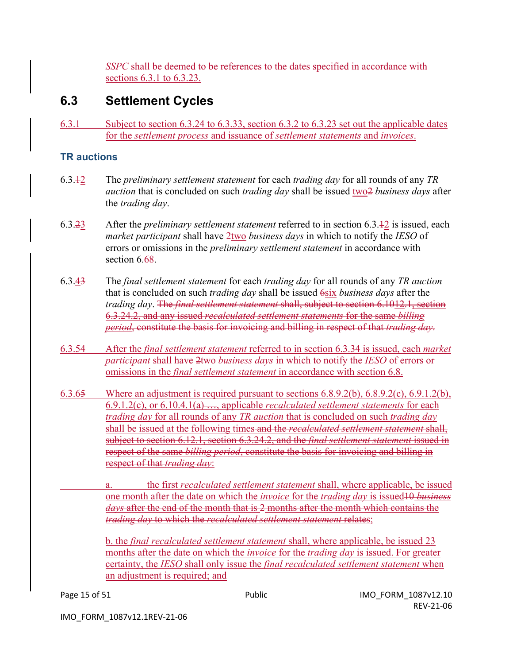*SSPC* shall be deemed to be references to the dates specified in accordance with sections 6.3.1 to 6.3.23.

## **6.3 Settlement Cycles**

6.3.1 Subject to section 6.3.24 to 6.3.33, section 6.3.2 to 6.3.23 set out the applicable dates for the *settlement process* and issuance of *settlement statements* and *invoices*.

#### **TR auctions**

- 6.3.12 The *preliminary settlement statement* for each *trading day* for all rounds of any *TR auction* that is concluded on such *trading day* shall be issued two2 *business days* after the *trading day*.
- 6.3.23 After the *preliminary settlement statement* referred to in section 6.3.12 is issued, each *market participant* shall have 2two *business days* in which to notify the *IESO* of errors or omissions in the *preliminary settlement statement* in accordance with section 6.68.
- 6.3.43 The *final settlement statement* for each *trading day* for all rounds of any *TR auction* that is concluded on such *trading day* shall be issued 6six *business days* after the *trading day*. The *final settlement statement* shall, subject to section 6.1012.1, section 6.3.24.2, and any issued *recalculated settlement statements* for the same *billing period*, constitute the basis for invoicing and billing in respect of that *trading day*.
- 6.3.54 After the *final settlement statement* referred to in section 6.3.34 is issued, each *market participant* shall have 2two *business days* in which to notify the *IESO* of errors or omissions in the *final settlement statement* in accordance with section 6.8.
- 6.3.65 Where an adjustment is required pursuant to sections  $6.8.9.2(b)$ ,  $6.8.9.2(c)$ ,  $6.9.1.2(b)$ , 6.9.1.2(c), or 6.10.4.1(a) …, applicable *recalculated settlement statements* for each *trading day* for all rounds of any *TR auction* that is concluded on such *trading day* shall be issued at the following times and the *recalculated settlement statement* shall, subject to section 6.12.1, section 6.3.24.2, and the *final settlement statement* issued in respect of the same *billing period*, constitute the basis for invoicing and billing in respect of that *trading day*:
	- a. the first *recalculated settlement statement* shall, where applicable, be issued one month after the date on which the *invoice* for the *trading day* is issued10 *business days* after the end of the month that is 2 months after the month which contains the *trading day* to which the *recalculated settlement statement* relates;

b. the *final recalculated settlement statement* shall, where applicable, be issued 23 months after the date on which the *invoice* for the *trading day* is issued. For greater certainty, the *IESO* shall only issue the *final recalculated settlement statement* when an adjustment is required; and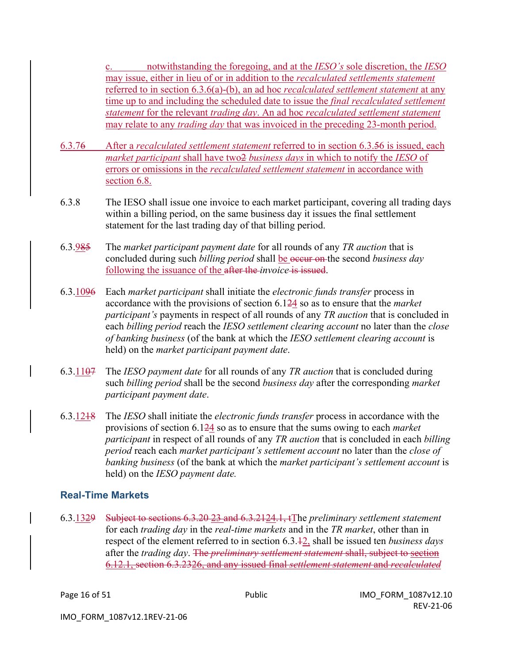c. notwithstanding the foregoing, and at the *IESO's* sole discretion, the *IESO* may issue, either in lieu of or in addition to the *recalculated settlements statement* referred to in section 6.3.6(a)-(b), an ad hoc *recalculated settlement statement* at any time up to and including the scheduled date to issue the *final recalculated settlement statement* for the relevant *trading day*. An ad hoc *recalculated settlement statement* may relate to any *trading day* that was invoiced in the preceding 23-month period.

- 6.3.76 After a *recalculated settlement statement* referred to in section 6.3.56 is issued, each *market participant* shall have two2 *business days* in which to notify the *IESO* of errors or omissions in the *recalculated settlement statement* in accordance with section 6.8.
- 6.3.8 The IESO shall issue one invoice to each market participant, covering all trading days within a billing period, on the same business day it issues the final settlement statement for the last trading day of that billing period.
- 6.3.985 The *market participant payment date* for all rounds of any *TR auction* that is concluded during such *billing period* shall be occur on the second *business day* following the issuance of the after the *invoice* is issued.
- 6.3.1096 Each *market participant* shall initiate the *electronic funds transfer* process in accordance with the provisions of section 6.124 so as to ensure that the *market participant's* payments in respect of all rounds of any *TR auction* that is concluded in each *billing period* reach the *IESO settlement clearing account* no later than the *close of banking business* (of the bank at which the *IESO settlement clearing account* is held) on the *market participant payment date*.
- 6.3.1107 The *IESO payment date* for all rounds of any *TR auction* that is concluded during such *billing period* shall be the second *business day* after the corresponding *market participant payment date*.
- 6.3.1218 The *IESO* shall initiate the *electronic funds transfer* process in accordance with the provisions of section 6.124 so as to ensure that the sums owing to each *market participant* in respect of all rounds of any *TR auction* that is concluded in each *billing period* reach each *market participant's settlement account* no later than the *close of banking business* (of the bank at which the *market participant's settlement account* is held) on the *IESO payment date.*

#### **Real-Time Markets**

6.3.1329 Subject to sections 6.3.20 23 and 6.3.2124.1, tThe *preliminary settlement statement* for each *trading day* in the *real-time markets* and in the *TR market*, other than in respect of the element referred to in section 6.3.12, shall be issued ten *business days* after the *trading day*. The *preliminary settlement statement* shall, subject to section 6.12.1, section 6.3.2326, and any issued final *settlement statement* and *recalculated*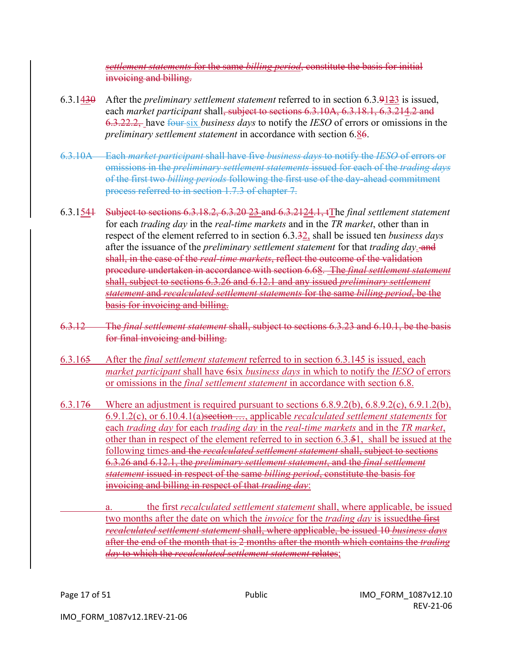*settlement statements* for the same *billing period*, constitute the basis for initial invoicing and billing.

- 6.3.1430 After the *preliminary settlement statement* referred to in section 6.3.9123 is issued, each *market participant* shall, subject to sections 6.3.10A, 6.3.18.1, 6.3.214.2 and 6.3.22.2, have four six *business days* to notify the *IESO* of errors or omissions in the *preliminary settlement statement* in accordance with section 6.86.
- 6.3.10A Each *market participant* shall have five *business days* to notify the *IESO* of errors or omissions in the *preliminary settlement statements* issued for each of the *trading days* of the first two *billing periods* following the first use of the day-ahead commitment process referred to in section 1.7.3 of chapter 7.
- 6.3.1541 Subject to sections 6.3.18.2, 6.3.20 23 and 6.3.2124.1, tThe *final settlement statement*  for each *trading day* in the *real-time markets* and in the *TR market*, other than in respect of the element referred to in section 6.3.32, shall be issued ten *business days* after the issuance of the *preliminary settlement statement* for that *trading day*. and shall, in the case of the *real-time markets*, reflect the outcome of the validation procedure undertaken in accordance with section 6.68. The *final settlement statement*  shall, subject to sections 6.3.26 and 6.12.1 and any issued *preliminary settlement statement* and *recalculated settlement statements* for the same *billing period*, be the basis for invoicing and billing.
- 6.3.12 The *final settlement statement* shall, subject to sections 6.3.23 and 6.10.1, be the basis for final invoicing and billing.
- 6.3.165 After the *final settlement statement* referred to in section 6.3.145 is issued, each *market participant* shall have 6six *business days* in which to notify the *IESO* of errors or omissions in the *final settlement statement* in accordance with section 6.8.
- 6.3.176 Where an adjustment is required pursuant to sections 6.8.9.2(b), 6.8.9.2(c), 6.9.1.2(b), 6.9.1.2(c), or 6.10.4.1(a)section …, applicable *recalculated settlement statements* for each *trading day* for each *trading day* in the *real-time markets* and in the *TR market*, other than in respect of the element referred to in section 6.3.51, shall be issued at the following times and the *recalculated settlement statement* shall, subject to sections 6.3.26 and 6.12.1, the *preliminary settlement statement*, and the *final settlement statement* issued in respect of the same *billing period*, constitute the basis for invoicing and billing in respect of that *trading day*:
	- a. the first *recalculated settlement statement* shall, where applicable, be issued two months after the date on which the *invoice* for the *trading day* is issuedthe first *recalculated settlement statement* shall, where applicable, be issued 10 *business days* after the end of the month that is 2 months after the month which contains the *trading day* to which the *recalculated settlement statement* relates;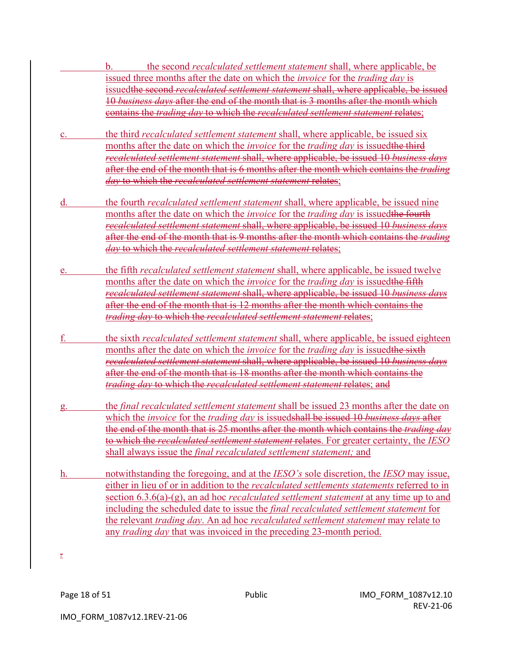- b. the second *recalculated settlement statement* shall, where applicable, be issued three months after the date on which the *invoice* for the *trading day* is issuedthe second *recalculated settlement statement* shall, where applicable, be issued 10 *business days* after the end of the month that is 3 months after the month which contains the *trading day* to which the *recalculated settlement statement* relates;
- c. the third *recalculated settlement statement* shall, where applicable, be issued six months after the date on which the *invoice* for the *trading day* is issuedthe third *recalculated settlement statement* shall, where applicable, be issued 10 *business days* after the end of the month that is 6 months after the month which contains the *trading day* to which the *recalculated settlement statement* relates;
- d. the fourth *recalculated settlement statement* shall, where applicable, be issued nine months after the date on which the *invoice* for the *trading day* is issuedthe fourth *recalculated settlement statement* shall, where applicable, be issued 10 *business days* after the end of the month that is 9 months after the month which contains the *trading day* to which the *recalculated settlement statement* relates;
- e. the fifth *recalculated settlement statement* shall, where applicable, be issued twelve months after the date on which the *invoice* for the *trading day* is issuedthe fifth *recalculated settlement statement* shall, where applicable, be issued 10 *business days* after the end of the month that is 12 months after the month which contains the *trading day* to which the *recalculated settlement statement* relates;
- f. the sixth *recalculated settlement statement* shall, where applicable, be issued eighteen months after the date on which the *invoice* for the *trading day* is issuedthe sixth *recalculated settlement statement* shall, where applicable, be issued 10 *business days* after the end of the month that is 18 months after the month which contains the *trading day* to which the *recalculated settlement statement* relates; and
- g. the *final recalculated settlement statement* shall be issued 23 months after the date on which the *invoice* for the *trading day* is issuedshall be issued 10 *business days* after the end of the month that is 25 months after the month which contains the *trading day* to which the *recalculated settlement statement* relates. For greater certainty, the *IESO* shall always issue the *final recalculated settlement statement;* and
- h. notwithstanding the foregoing, and at the *IESO's* sole discretion, the *IESO* may issue, either in lieu of or in addition to the *recalculated settlements statements* referred to in section 6.3.6(a)-(g), an ad hoc *recalculated settlement statement* at any time up to and including the scheduled date to issue the *final recalculated settlement statement* for the relevant *trading day*. An ad hoc *recalculated settlement statement* may relate to any *trading day* that was invoiced in the preceding 23-month period.

*.*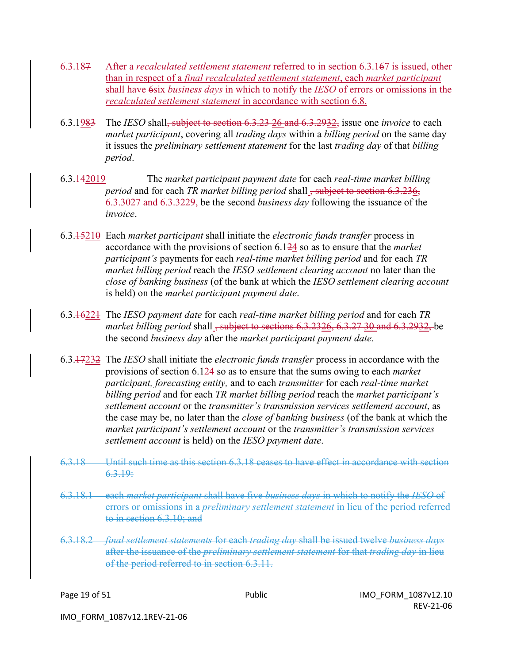- 6.3.187 After a *recalculated settlement statement* referred to in section 6.3.167 is issued, other than in respect of a *final recalculated settlement statement*, each *market participant* shall have 6six *business days* in which to notify the *IESO* of errors or omissions in the *recalculated settlement statement* in accordance with section 6.8.
- 6.3.1983 The *IESO* shall, subject to section 6.3.23 26 and 6.3.2932, issue one *invoice* to each *market participant*, covering all *trading days* within a *billing period* on the same day it issues the *preliminary settlement statement* for the last *trading day* of that *billing period*.
- 6.3.142019 The *market participant payment date* for each *real-time market billing period* and for each *TR market billing period* shall <del>, subject to section 6.3.236,</del> 6.3.3027 and 6.3.3229, be the second *business day* following the issuance of the *invoice*.
- 6.3.15210 Each *market participant* shall initiate the *electronic funds transfer* process in accordance with the provisions of section 6.124 so as to ensure that the *market participant's* payments for each *real-time market billing period* and for each *TR market billing period* reach the *IESO settlement clearing account* no later than the *close of banking business* (of the bank at which the *IESO settlement clearing account*  is held) on the *market participant payment date*.
- 6.3.16221 The *IESO payment date* for each *real-time market billing period* and for each *TR market billing period* shall, subject to sections 6.3.2326, 6.3.27 30 and 6.3.2932, be the second *business day* after the *market participant payment date*.
- 6.3.17232 The *IESO* shall initiate the *electronic funds transfer* process in accordance with the provisions of section 6.124 so as to ensure that the sums owing to each *market participant, forecasting entity,* and to each *transmitter* for each *real-time market billing period* and for each *TR market billing period* reach the *market participant's settlement account* or the *transmitter's transmission services settlement account*, as the case may be, no later than the *close of banking business* (of the bank at which the *market participant's settlement account* or the *transmitter's transmission services settlement account* is held) on the *IESO payment date*.
- 6.3.18 Until such time as this section 6.3.18 ceases to have effect in accordance with section 6.3.19:
- 6.3.18.1 each *market participant* shall have five *business days* in which to notify the *IESO* of errors or omissions in a *preliminary settlement statement* in lieu of the period referred to in section 6.3.10; and
- 6.3.18.2 *final settlement statements* for each *trading day* shall be issued twelve *business days*  after the issuance of the *preliminary settlement statement* for that *trading day* in lieu of the period referred to in section 6.3.11.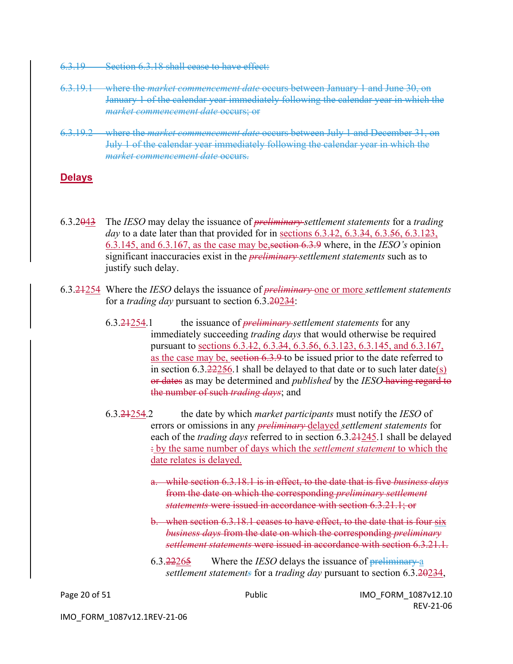- 6.3.19 Section 6.3.18 shall cease to have effect:
- 6.3.19.1 where the *market commencement date* occurs between January 1 and June 30, on January 1 of the calendar year immediately following the calendar year in which the *market commencement date* occurs; or
- 6.3.19.2 where the *market commencement date* occurs between July 1 and December 31, on July 1 of the calendar year immediately following the calendar year in which the *market commencement date* occurs.

#### **Delays**

- 6.3.2043 The *IESO* may delay the issuance of *preliminary settlement statements* for a *trading day* to a date later than that provided for in sections 6.3.12, 6.3.34, 6.3.56, 6.3.123, 6.3.145, and 6.3.167, as the case may be,section 6.3.9 where, in the *IESO's* opinion significant inaccuracies exist in the *preliminary settlement statements* such as to justify such delay.
- 6.3.21254 Where the *IESO* delays the issuance of *preliminary* one or more *settlement statements*  for a *trading day* pursuant to section 6.3.20234:
	- 6.3.21254.1 the issuance of *preliminary settlement statements* for any immediately succeeding *trading days* that would otherwise be required pursuant to sections 6.3.12, 6.3.34, 6.3.56, 6.3.123, 6.3.145, and 6.3.167, as the case may be, section 6.3.9 to be issued prior to the date referred to in section  $6.3.222256.1$  shall be delayed to that date or to such later date(s) or dates as may be determined and *published* by the *IESO* having regard to the number of such *trading days*; and
	- 6.3.21254.2 the date by which *market participants* must notify the *IESO* of errors or omissions in any *preliminary* delayed *settlement statements* for each of the *trading days* referred to in section 6.3.21245.1 shall be delayed : by the same number of days which the *settlement statement* to which the date relates is delayed.
		- a. while section 6.3.18.1 is in effect, to the date that is five *business days*  from the date on which the corresponding *preliminary settlement statements* were issued in accordance with section 6.3.21.1; or
		- b. when section 6.3.18.1 ceases to have effect, to the date that is four six *business days* from the date on which the corresponding *preliminary settlement statements* were issued in accordance with section 6.3.21.1.
		- 6.3.22265 Where the *IESO* delays the issuance of preliminary a *settlement statements* for a *trading day* pursuant to section 6.3.20234,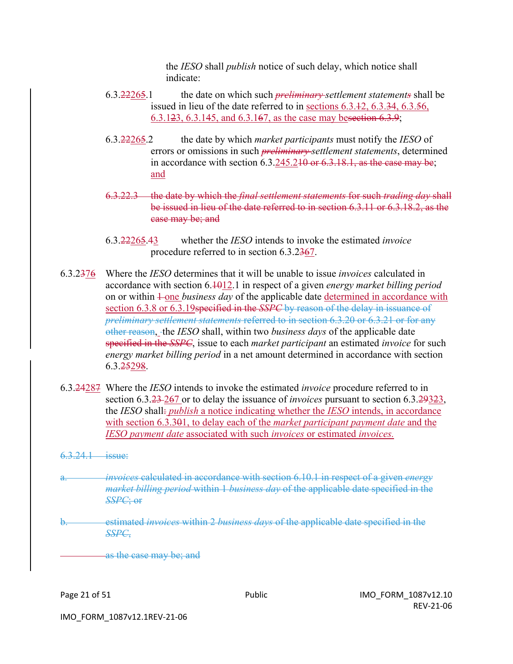the *IESO* shall *publish* notice of such delay, which notice shall indicate:

- 6.3.22265.1 the date on which such *preliminary settlement statements* shall be issued in lieu of the date referred to in sections 6.3.42, 6.3.34, 6.3.56, 6.3.123, 6.3.145, and 6.3.167, as the case may besection 6.3.9;
- 6.3.22265.2 the date by which *market participants* must notify the *IESO* of errors or omissions in such *preliminary settlement statements*, determined in accordance with section 6.3.245.210 or 6.3.18.1, as the case may be; and
- 6.3.22.3 the date by which the *final settlement statements* for such *trading day* shall be issued in lieu of the date referred to in section 6.3.11 or 6.3.18.2, as the case may be; and
- 6.3.22265.43 whether the *IESO* intends to invoke the estimated *invoice*  procedure referred to in section 6.3.2367.
- 6.3.2376 Where the *IESO* determines that it will be unable to issue *invoices* calculated in accordance with section 6.1012.1 in respect of a given *energy market billing period*  on or within  $\perp$ one *business day* of the applicable date determined in accordance with section 6.3.8 or 6.3.19specified in the *SSPC* by reason of the delay in issuance of *preliminary settlement statements* referred to in section 6.3.20 or 6.3.21 or for any other reason, the *IESO* shall, within two *business days* of the applicable date specified in the *SSPC*, issue to each *market participant* an estimated *invoice* for such *energy market billing period* in a net amount determined in accordance with section 6.3.25298.
- 6.3.24287 Where the *IESO* intends to invoke the estimated *invoice* procedure referred to in section 6.3.23 267 or to delay the issuance of *invoices* pursuant to section 6.3.29323, the *IESO* shall: *publish* a notice indicating whether the *IESO* intends, in accordance with section 6.3.301, to delay each of the *market participant payment date* and the *IESO payment date* associated with such *invoices* or estimated *invoices.*
- 6.3.24.1 issue:
- a. *invoices* calculated in accordance with section 6.10.1 in respect of a given *energy market billing period* within 1 *business day* of the applicable date specified in the *SSPC*; or
- b. estimated *invoices* within 2 *business days* of the applicable date specified in the *SSPC*,

as the case may be; and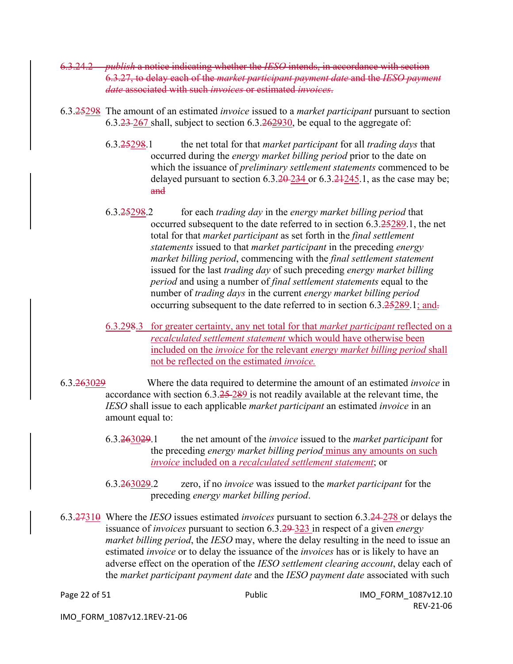- 6.3.24.2 *publish* a notice indicating whether the *IESO* intends, in accordance with section 6.3.27, to delay each of the *market participant payment date* and the *IESO payment date* associated with such *invoices* or estimated *invoices*.
- 6.3.25298 The amount of an estimated *invoice* issued to a *market participant* pursuant to section 6.3.23 267 shall, subject to section 6.3.262930, be equal to the aggregate of:
	- 6.3.25298.1 the net total for that *market participant* for all *trading days* that occurred during the *energy market billing period* prior to the date on which the issuance of *preliminary settlement statements* commenced to be delayed pursuant to section  $6.3.20 - 234$  or  $6.3.21 - 245$ . 1, as the case may be; and
	- 6.3.25298.2 for each *trading day* in the *energy market billing period* that occurred subsequent to the date referred to in section 6.3.25289.1, the net total for that *market participant* as set forth in the *final settlement statements* issued to that *market participant* in the preceding *energy market billing period*, commencing with the *final settlement statement*  issued for the last *trading day* of such preceding *energy market billing period* and using a number of *final settlement statements* equal to the number of *trading days* in the current *energy market billing period*  occurring subsequent to the date referred to in section 6.3.25289.1; and.
	- 6.3.298.3 for greater certainty, any net total for that *market participant* reflected on a *recalculated settlement statement* which would have otherwise been included on the *invoice* for the relevant *energy market billing period* shall not be reflected on the estimated *invoice.*
- 6.3.263029 Where the data required to determine the amount of an estimated *invoice* in accordance with section 6.3.25 289 is not readily available at the relevant time, the *IESO* shall issue to each applicable *market participant* an estimated *invoice* in an amount equal to:
	- 6.3.263029.1 the net amount of the *invoice* issued to the *market participant* for the preceding *energy market billing period* minus any amounts on such *invoice* included on a *recalculated settlement statement*; or
	- 6.3.263029.2 zero, if no *invoice* was issued to the *market participant* for the preceding *energy market billing period*.
- 6.3.27310 Where the *IESO* issues estimated *invoices* pursuant to section 6.3.24 278 or delays the issuance of *invoices* pursuant to section 6.3.29 323 in respect of a given *energy market billing period*, the *IESO* may, where the delay resulting in the need to issue an estimated *invoice* or to delay the issuance of the *invoices* has or is likely to have an adverse effect on the operation of the *IESO settlement clearing account*, delay each of the *market participant payment date* and the *IESO payment date* associated with such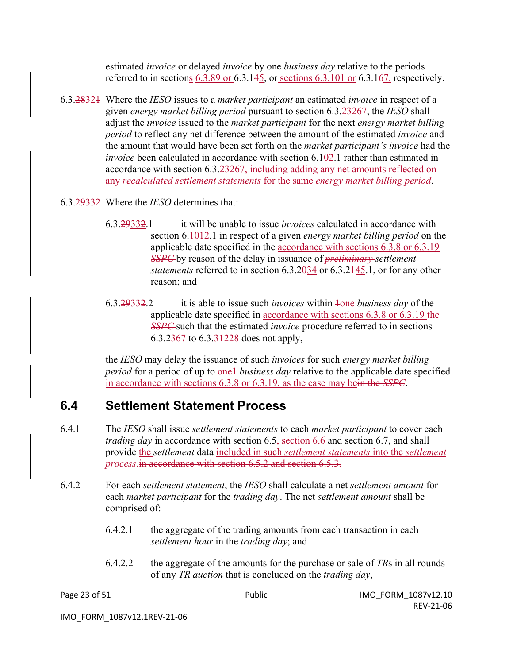estimated *invoice* or delayed *invoice* by one *business day* relative to the periods referred to in sections  $6.3.89$  or  $6.3.145$ , or sections  $6.3.101$  or  $6.3.167$ , respectively.

- 6.3.28321 Where the *IESO* issues to a *market participant* an estimated *invoice* in respect of a given *energy market billing period* pursuant to section 6.3.23267, the *IESO* shall adjust the *invoice* issued to the *market participant* for the next *energy market billing period* to reflect any net difference between the amount of the estimated *invoice* and the amount that would have been set forth on the *market participant's invoice* had the *invoice* been calculated in accordance with section 6.102.1 rather than estimated in accordance with section 6.3.23267, including adding any net amounts reflected on any *recalculated settlement statements* for the same *energy market billing period*.
- 6.3.29332 Where the *IESO* determines that:
	- 6.3.29332.1 it will be unable to issue *invoices* calculated in accordance with section 6.1012.1 in respect of a given *energy market billing period* on the applicable date specified in the accordance with sections 6.3.8 or 6.3.19 *SSPC* by reason of the delay in issuance of *preliminary settlement statements* referred to in section 6.3.2034 or 6.3.2445.1, or for any other reason; and
	- 6.3.29332.2 it is able to issue such *invoices* within 1one *business day* of the applicable date specified in accordance with sections 6.3.8 or 6.3.19 the *SSPC* such that the estimated *invoice* procedure referred to in sections 6.3.2367 to 6.3.31228 does not apply,

the *IESO* may delay the issuance of such *invoices* for such *energy market billing period* for a period of up to one+ *business day* relative to the applicable date specified in accordance with sections 6.3.8 or 6.3.19, as the case may bein the *SSPC*.

### **6.4 Settlement Statement Process**

- 6.4.1 The *IESO* shall issue *settlement statements* to each *market participant* to cover each *trading day* in accordance with section 6.5, section 6.6 and section 6.7, and shall provide the *settlement* data included in such *settlement statements* into the *settlement process*.in accordance with section 6.5.2 and section 6.5.3.
- 6.4.2 For each *settlement statement*, the *IESO* shall calculate a net *settlement amount* for each *market participant* for the *trading day*. The net *settlement amount* shall be comprised of:
	- 6.4.2.1 the aggregate of the trading amounts from each transaction in each *settlement hour* in the *trading day*; and
	- 6.4.2.2 the aggregate of the amounts for the purchase or sale of *TR*s in all rounds of any *TR auction* that is concluded on the *trading day*,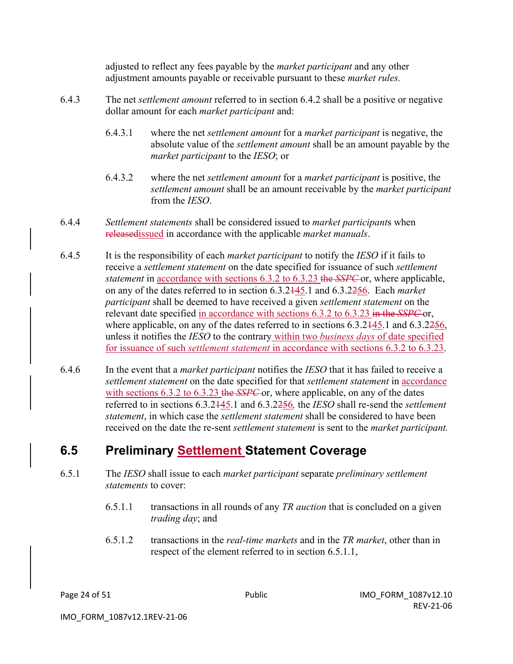adjusted to reflect any fees payable by the *market participant* and any other adjustment amounts payable or receivable pursuant to these *market rules.*

- 6.4.3 The net *settlement amount* referred to in section 6.4.2 shall be a positive or negative dollar amount for each *market participant* and:
	- 6.4.3.1 where the net *settlement amount* for a *market participant* is negative, the absolute value of the *settlement amount* shall be an amount payable by the *market participant* to the *IESO*; or
	- 6.4.3.2 where the net *settlement amount* for a *market participant* is positive, the *settlement amount* shall be an amount receivable by the *market participant* from the *IESO*.
- 6.4.4 *Settlement statements* shall be considered issued to *market participant*s when releasedissued in accordance with the applicable *market manuals*.
- 6.4.5 It is the responsibility of each *market participant* to notify the *IESO* if it fails to receive a *settlement statement* on the date specified for issuance of such *settlement statement* in accordance with sections 6.3.2 to 6.3.23 the *SSPC* or, where applicable, on any of the dates referred to in section 6.3.2145.1 and 6.3.2256. Each *market participant* shall be deemed to have received a given *settlement statement* on the relevant date specified in accordance with sections 6.3.2 to 6.3.23 in the *SSPC* or, where applicable, on any of the dates referred to in sections 6.3.2445.1 and 6.3.2256, unless it notifies the *IESO* to the contrary within two *business days* of date specified for issuance of such *settlement statement* in accordance with sections 6.3.2 to 6.3.23.
- 6.4.6 In the event that a *market participant* notifies the *IESO* that it has failed to receive a *settlement statement* on the date specified for that *settlement statement* in accordance with sections 6.3.2 to 6.3.23 the *SSPC* or, where applicable, on any of the dates referred to in sections 6.3.2145.1 and 6.3.2256*,* the *IESO* shall re-send the *settlement statement*, in which case the *settlement statement* shall be considered to have been received on the date the re-sent *settlement statement* is sent to the *market participant.*

### **6.5 Preliminary Settlement Statement Coverage**

- 6.5.1 The *IESO* shall issue to each *market participant* separate *preliminary settlement statements* to cover:
	- 6.5.1.1 transactions in all rounds of any *TR auction* that is concluded on a given *trading day*; and
	- 6.5.1.2 transactions in the *real-time markets* and in the *TR market*, other than in respect of the element referred to in section 6.5.1.1,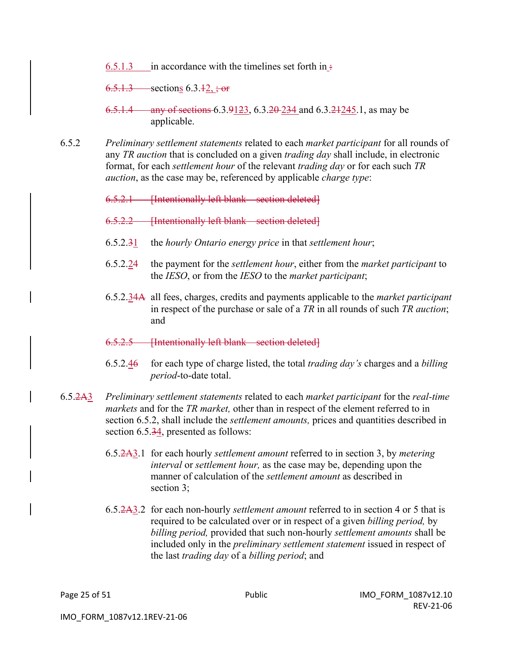6.5.1.3 in accordance with the timelines set forth in  $\pm$ 

 $6.5.1.3$  sections  $6.3.12, \text{·} \text{or}$ 

- 6.5.1.4 any of sections 6.3.9123, 6.3.20 234 and 6.3.21 245.1, as may be applicable.
- 6.5.2 *Preliminary settlement statements* related to each *market participant* for all rounds of any *TR auction* that is concluded on a given *trading day* shall include, in electronic format, for each *settlement hour* of the relevant *trading day* or for each such *TR auction*, as the case may be, referenced by applicable *charge type*:

6.5.2.1 [Intentionally left blank – section deleted]

6.5.2.2 [Intentionally left blank – section deleted]

- 6.5.2.31 the *hourly Ontario energy price* in that *settlement hour*;
- 6.5.2.24 the payment for the *settlement hour*, either from the *market participant* to the *IESO*, or from the *IESO* to the *market participant*;
- 6.5.2.34A all fees, charges, credits and payments applicable to the *market participant* in respect of the purchase or sale of a *TR* in all rounds of such *TR auction*; and
- 6.5.2.5 [Intentionally left blank section deleted]
- 6.5.2.46 for each type of charge listed, the total *trading day's* charges and a *billing period*-to-date total.
- 6.5.2A3 *Preliminary settlement statements* related to each *market participant* for the *real-time markets* and for the *TR market,* other than in respect of the element referred to in section 6.5.2, shall include the *settlement amounts,* prices and quantities described in section 6.5.34, presented as follows:
	- 6.5.2A3.1 for each hourly *settlement amount* referred to in section 3, by *metering interval* or *settlement hour,* as the case may be, depending upon the manner of calculation of the *settlement amount* as described in section 3;
	- 6.5.2A3.2 for each non-hourly *settlement amount* referred to in section 4 or 5 that is required to be calculated over or in respect of a given *billing period,* by *billing period,* provided that such non-hourly *settlement amounts* shall be included only in the *preliminary settlement statement* issued in respect of the last *trading day* of a *billing period*; and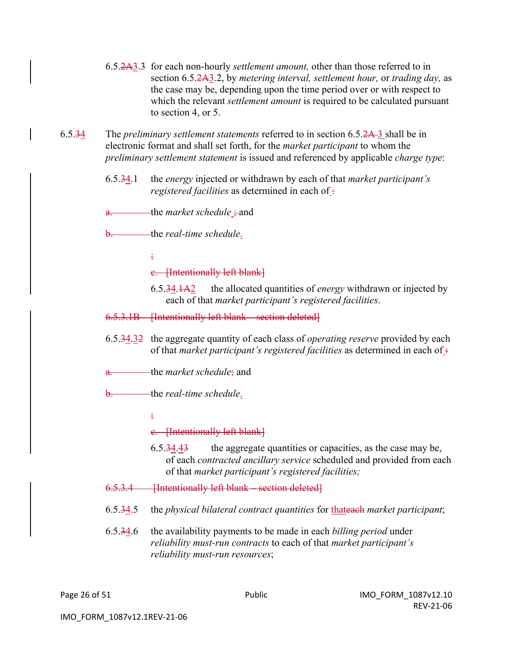- 6.5.2A3.3 for each non-hourly *settlement amount,* other than those referred to in section 6.5.2A3.2, by *metering interval, settlement hour,* or *trading day,* as the case may be, depending upon the time period over or with respect to which the relevant *settlement amount* is required to be calculated pursuant to section 4, or 5.
- 6.5.34 The *preliminary settlement statements* referred to in section 6.5.2A 3 shall be in electronic format and shall set forth, for the *market participant* to whom the *preliminary settlement statement* is issued and referenced by applicable *charge type*:
	- 6.5.34.1 the *energy* injected or withdrawn by each of that *market participant's registered facilities* as determined in each of :

a. the *market schedule* ; and

b. the *real-time schedule*.

;

#### c. [Intentionally left blank]

- 6.5.34.1A2 the allocated quantities of *energy* withdrawn or injected by each of that *market participant's registered facilities*.
- 6.5.3.1B [Intentionally left blank section deleted]
- 6.5.34.32 the aggregate quantity of each class of *operating reserve* provided by each of that *market participant's registered facilities* as determined in each of :-
- a. the *market schedule*; and
- b. the *real-time schedule*.

 $\frac{1}{2}$ 

#### c. [Intentionally left blank]

6.5.34.43 the aggregate quantities or capacities, as the case may be, of each *contracted ancillary service* scheduled and provided from each of that *market participant's registered facilities;*

#### 6.5.3.4 [Intentionally left blank – section deleted]

- 6.5.34.5 the *physical bilateral contract quantities* for thateach *market participant*;
- 6.5.34.6 the availability payments to be made in each *billing period* under *reliability must-run contracts* to each of that *market participant's reliability must-run resources*;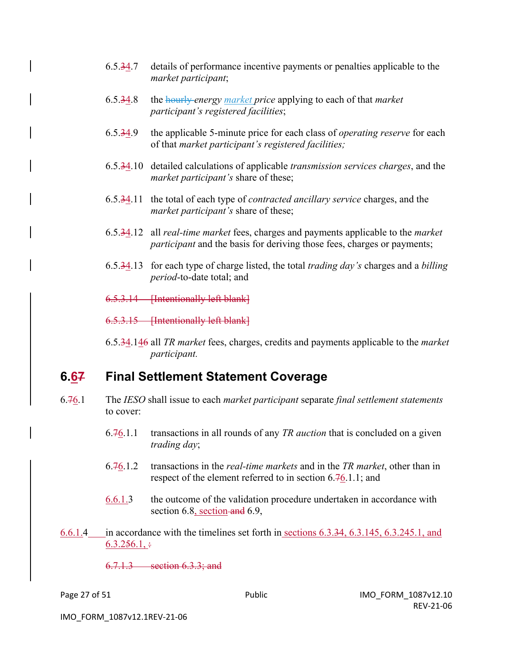- 6.5.34.7 details of performance incentive payments or penalties applicable to the *market participant*;
- 6.5.34.8 the hourly *energy market price* applying to each of that *market participant's registered facilities*;
- 6.5.34.9 the applicable 5-minute price for each class of *operating reserve* for each of that *market participant's registered facilities;*
- 6.5.34.10 detailed calculations of applicable *transmission services charges*, and the *market participant's* share of these;
- 6.5.34.11 the total of each type of *contracted ancillary service* charges, and the *market participant's* share of these;
- 6.5.34.12 all *real-time market* fees, charges and payments applicable to the *market participant* and the basis for deriving those fees, charges or payments;
- 6.5.34.13 for each type of charge listed, the total *trading day's* charges and a *billing period*-to-date total; and

6.5.3.14 [Intentionally left blank]

6.5.3.15 [Intentionally left blank]

6.5.34.146 all *TR market* fees, charges, credits and payments applicable to the *market participant.*

#### **6.67 Final Settlement Statement Coverage**

- 6.76.1 The *IESO* shall issue to each *market participant* separate *final settlement statements* to cover:
	- 6.76.1.1 transactions in all rounds of any *TR auction* that is concluded on a given *trading day*;
	- 6.76.1.2 transactions in the *real-time markets* and in the *TR market*, other than in respect of the element referred to in section 6.76.1.1; and
	- 6.6.1.3 the outcome of the validation procedure undertaken in accordance with section 6.8, section and 6.9,
- 6.6.1.4 in accordance with the timelines set forth in sections 6.3.34, 6.3.145, 6.3.245.1, and  $6.3.256.1, \div$

6.7.1.3 section 6.3.3; and

IMO\_FORM\_1087v12.1REV-21-06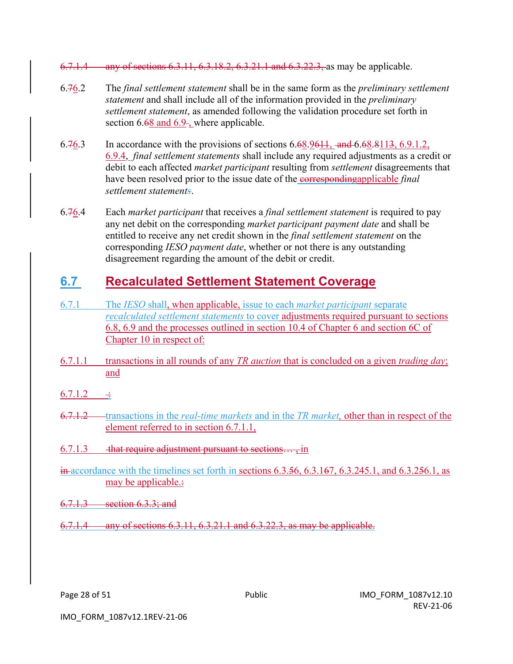- 6.7.1.4 any of sections 6.3.11, 6.3.18.2, 6.3.21.1 and 6.3.22.3, as may be applicable.
- 6.76.2 The *final settlement statement* shall be in the same form as the *preliminary settlement statement* and shall include all of the information provided in the *preliminary settlement statement*, as amended following the validation procedure set forth in section 6.68 and 6.9-, where applicable.
- 6.76.3 In accordance with the provisions of sections  $6.68.9611$ , and  $6.68.8113$ ,  $6.9.1.2$ , 6.9.4, *final settlement statements* shall include any required adjustments as a credit or debit to each affected *market participant* resulting from *settlement* disagreements that have been resolved prior to the issue date of the **correspondingapplicable** *final settlement statements*.
- 6.76.4 Each *market participant* that receives a *final settlement statement* is required to pay any net debit on the corresponding *market participant payment date* and shall be entitled to receive any net credit shown in the *final settlement statement* on the corresponding *IESO payment date*, whether or not there is any outstanding disagreement regarding the amount of the debit or credit.

## **6.7 Recalculated Settlement Statement Coverage**

- 6.7.1 The *IESO* shall, when applicable, issue to each *market participant* separate *recalculated settlement statements* to cover adjustments required pursuant to sections 6.8, 6.9 and the processes outlined in section 10.4 of Chapter 6 and section 6C of Chapter 10 in respect of:
- 6.7.1.1 transactions in all rounds of any *TR auction* that is concluded on a given *trading day*; and
- $6.7.1.2 \t\div$
- 6.7.1.2 transactions in the *real-time markets* and in the *TR market*, other than in respect of the element referred to in section 6.7.1.1,
- $6.7.1.3$  that require adjustment pursuant to sections... , in
- $\frac{\dot{m}}{\text{ar}}$  accordance with the timelines set forth in sections 6.3.56, 6.3.167, 6.3.245.1, and 6.3.256.1, as may be applicable.
- 6.7.1.3 section 6.3.3; and
- 6.7.1.4 any of sections 6.3.11, 6.3.21.1 and 6.3.22.3, as may be applicable.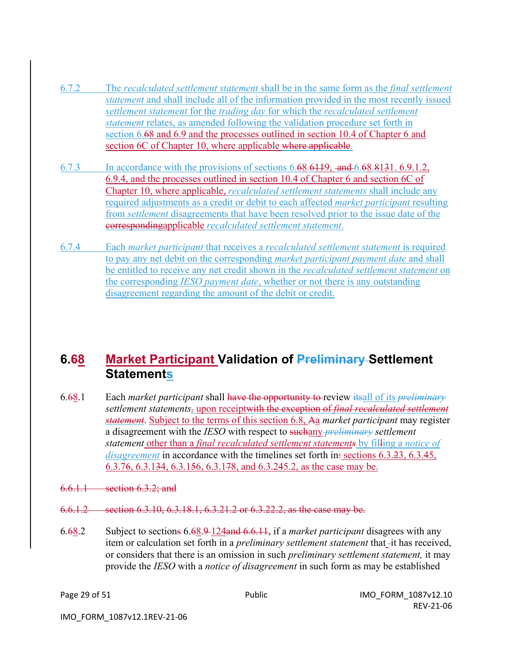- 6.7.2 The *recalculated settlement statement* shall be in the same form as the *final settlement statement* and shall include all of the information provided in the most recently issued *settlement statement* for the *trading day* for which the *recalculated settlement statement* relates, as amended following the validation procedure set forth in section 6.68 and 6.9 and the processes outlined in section 10.4 of Chapter 6 and section 6C of Chapter 10, where applicable where applicable.
- 6.7.3 In accordance with the provisions of sections 6.68.6119, and 6.68.8131, 6.9.1.2, 6.9.4, and the processes outlined in section 10.4 of Chapter 6 and section 6C of Chapter 10, where applicable, *recalculated settlement statements* shall include any required adjustments as a credit or debit to each affected *market participant* resulting from *settlement* disagreements that have been resolved prior to the issue date of the correspondingapplicable *recalculated settlement statement*.
- 6.7.4 Each *market participant* that receives a *recalculated settlement statement* is required to pay any net debit on the corresponding *market participant payment date* and shall be entitled to receive any net credit shown in the *recalculated settlement statement* on the corresponding *IESO payment date*, whether or not there is any outstanding disagreement regarding the amount of the debit or credit.

### **6.68 Market Participant Validation of Preliminary Settlement Statements**

- 6.68.1 Each *market participant* shall have the opportunity to review itsall of its *preliminary settlement statements,* upon receiptwith the exception of *final recalculated settlement statement*. Subject to the terms of this section 6.8, Aa *market participant* may register a disagreement with the *IESO* with respect to suchany *preliminary settlement statement* other than a *final recalculated settlement statements* by filling a *notice of disagreement* in accordance with the timelines set forth in: sections 6.3.23, 6.3.45, 6.3.76, 6.3.134, 6.3.156, 6.3.178, and 6.3.245.2, as the case may be.
- 6.6.1.1 section 6.3.2; and
- 6.6.1.2 section 6.3.10, 6.3.18.1, 6.3.21.2 or 6.3.22.2, as the case may be.
- 6.68.2 Subject to sections 6.68.9 124and 6.6.11, if a *market participant* disagrees with any item or calculation set forth in a *preliminary settlement statement* that -it has received, or considers that there is an omission in such *preliminary settlement statement,* it may provide the *IESO* with a *notice of disagreement* in such form as may be established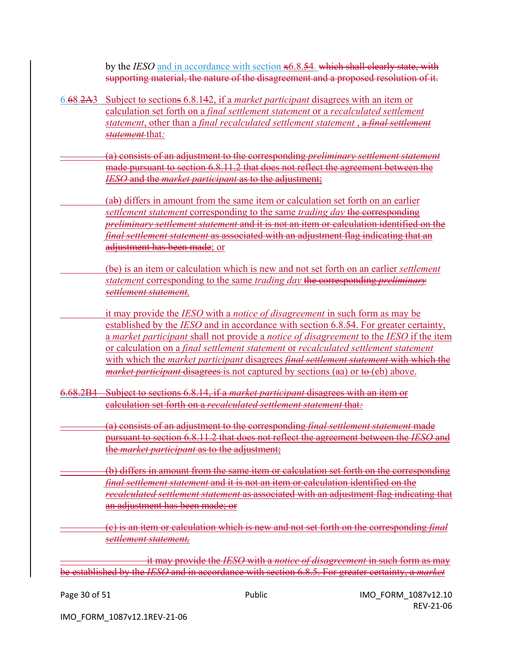by the *IESO* and in accordance with section x6.8.54. which shall clearly state, with supporting material, the nature of the disagreement and a proposed resolution of it.

6.68.2A3 Subject to sections 6.8.142, if a *market participant* disagrees with an item or calculation set forth on a *final settlement statement* or a *recalculated settlement statement*, other than a *final recalculated settlement statement* , a *final settlement statement* that*:*

(a) consists of an adjustment to the corresponding *preliminary settlement statement* made pursuant to section 6.8.11.2 that does not reflect the agreement between the *IESO* and the *market participant* as to the adjustment;

(ab) differs in amount from the same item or calculation set forth on an earlier *settlement statement* corresponding to the same *trading day* the corresponding *preliminary settlement statement* and it is not an item or calculation identified on the *final settlement statement* as associated with an adjustment flag indicating that an adjustment has been made; or

(bc) is an item or calculation which is new and not set forth on an earlier *settlement statement* corresponding to the same *trading day* the corresponding *preliminary settlement statement,*

it may provide the *IESO* with a *notice of disagreement* in such form as may be established by the *IESO* and in accordance with section 6.8.54. For greater certainty, a *market participant* shall not provide a *notice of disagreement* to the *IESO* if the item or calculation on a *final settlement statement* or *recalculated settlement statement* with which the *market participant* disagrees *final settlement statement* with which the *market participant* disagrees is not captured by sections (aa) or to (eb) above.

6.68.2B4 Subject to sections 6.8.14, if a *market participant* disagrees with an item or calculation set forth on a *recalculated settlement statement* that*:*

(a) consists of an adjustment to the corresponding *final settlement statement* made pursuant to section 6.8.11.2 that does not reflect the agreement between the *IESO* and the *market participant* as to the adjustment;

(b) differs in amount from the same item or calculation set forth on the corresponding *final settlement statement* and it is not an item or calculation identified on the *recalculated settlement statement* as associated with an adjustment flag indicating that an adjustment has been made; or

(c) is an item or calculation which is new and not set forth on the corresponding *final settlement statement,*

it may provide the *IESO* with a *notice of disagreement* in such form as may be established by the *IESO* and in accordance with section 6.8.5. For greater certainty, a *market*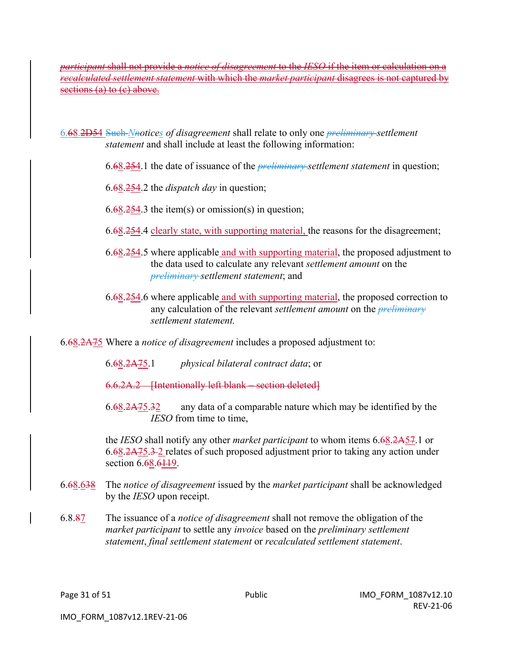*participant* shall not provide a *notice of disagreement* to the *IESO* if the item or calculation on a *recalculated settlement statement* with which the *market participant* disagrees is not captured by sections (a) to (c) above.

6.68.2D54 Such *Nnotices of disagreement* shall relate to only one *preliminary settlement statement* and shall include at least the following information:

- 6.68.254.1 the date of issuance of the *preliminary settlement statement* in question;
- 6.68.254.2 the *dispatch day* in question;
- $6.68.254.3$  the item(s) or omission(s) in question;
- 6.68.254.4 clearly state, with supporting material, the reasons for the disagreement;
- 6.68.254.5 where applicable and with supporting material, the proposed adjustment to the data used to calculate any relevant *settlement amount* on the *preliminary settlement statement*; and
- 6.68.254.6 where applicable and with supporting material, the proposed correction to any calculation of the relevant *settlement amount* on the *preliminary settlement statement.*

#### 6.68.2A75 Where a *notice of disagreement* includes a proposed adjustment to:

- 6.68.2A75.1 *physical bilateral contract data*; or
- 6.6.2A.2 [Intentionally left blank section deleted]
- 6.68.2A75.32 any data of a comparable nature which may be identified by the *IESO* from time to time,

the *IESO* shall notify any other *market participant* to whom items 6.68.2A57.1 or 6.68.2A75.3 2 relates of such proposed adjustment prior to taking any action under section 6.68.6119.

- 6.68.638 The *notice of disagreement* issued by the *market participant* shall be acknowledged by the *IESO* upon receipt.
- 6.8.87 The issuance of a *notice of disagreement* shall not remove the obligation of the *market participant* to settle any *invoice* based on the *preliminary settlement statement*, *final settlement statement* or *recalculated settlement statement*.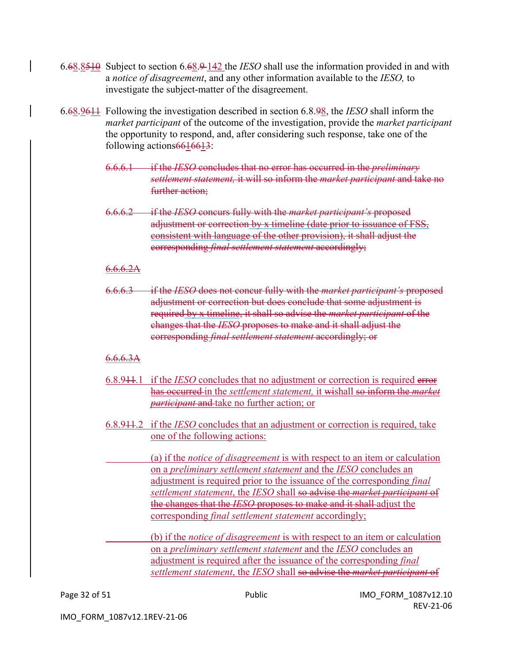- 6.68.8510 Subject to section 6.68.9 142 the *IESO* shall use the information provided in and with a *notice of disagreement*, and any other information available to the *IESO,* to investigate the subject-matter of the disagreement.
- 6.68.9611 Following the investigation described in section 6.8.98, the *IESO* shall inform the *market participant* of the outcome of the investigation, provide the *market participant*  the opportunity to respond, and, after considering such response, take one of the following actions 6616613:
	- 6.6.6.1 if the *IESO* concludes that no error has occurred in the *preliminary settlement statement,* it will so inform the *market participant* and take no further action;
	- 6.6.6.2 if the *IESO* concurs fully with the *market participant's* proposed adjustment or correction by x timeline (date prior to issuance of FSS, consistent with language of the other provision), it shall adjust the corresponding *final settlement statement* accordingly;

#### $6.6.6.2A$

6.6.6.3 if the *IESO* does not concur fully with the *market participant's* proposed adjustment or correction but does conclude that some adjustment is required by x timeline, it shall so advise the *market participant* of the changes that the *IESO* proposes to make and it shall adjust the corresponding *final settlement statement* accordingly; or

#### $6.6.6.3A$

- 6.8.911.1 if the *IESO* concludes that no adjustment or correction is required error has occurred in the *settlement statement,* it wishall so inform the *market participant* and take no further action; or
- 6.8.911.2 if the *IESO* concludes that an adjustment or correction is required, take one of the following actions:

(a) if the *notice of disagreement* is with respect to an item or calculation on a *preliminary settlement statement* and the *IESO* concludes an adjustment is required prior to the issuance of the corresponding *final settlement statement*, the *IESO* shall so advise the *market participant* of the changes that the *IESO* proposes to make and it shall adjust the corresponding *final settlement statement* accordingly;

(b) if the *notice of disagreement* is with respect to an item or calculation on a *preliminary settlement statement* and the *IESO* concludes an adjustment is required after the issuance of the corresponding *final settlement statement*, the *IESO* shall so advise the *market participant* of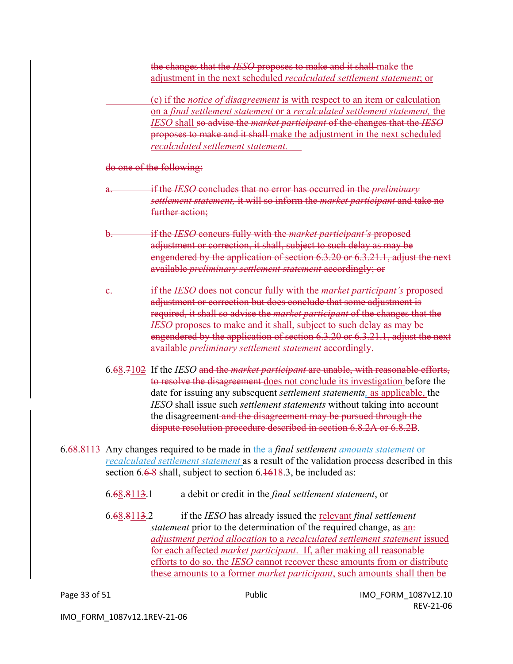the changes that the *IESO* proposes to make and it shall make the adjustment in the next scheduled *recalculated settlement statement*; or

(c) if the *notice of disagreement* is with respect to an item or calculation on a *final settlement statement* or a *recalculated settlement statement,* the *IESO* shall so advise the *market participant* of the changes that the *IESO* proposes to make and it shall make the adjustment in the next scheduled *recalculated settlement statement.* 

do one of the following:

- a. if the *IESO* concludes that no error has occurred in the *preliminary settlement statement,* it will so inform the *market participant* and take no further action:
- b. if the *IESO* concurs fully with the *market participant's* proposed adjustment or correction, it shall, subject to such delay as may be engendered by the application of section 6.3.20 or 6.3.21.1, adjust the next available *preliminary settlement statement* accordingly; or
- if the *IESO* does not concur fully with the *market participant's* proposed adjustment or correction but does conclude that some adjustment is required, it shall so advise the *market participant* of the changes that the *IESO* proposes to make and it shall, subject to such delay as may be engendered by the application of section 6.3.20 or 6.3.21.1, adjust the next available *preliminary settlement statement* accordingly.
- 6.68.7102 If the *IESO* and the *market participant* are unable, with reasonable efforts, to resolve the disagreement does not conclude its investigation before the date for issuing any subsequent *settlement statements,* as applicable, the *IESO* shall issue such *settlement statements* without taking into account the disagreement and the disagreement may be pursued through the dispute resolution procedure described in section 6.8.2A or 6.8.2B.
- 6.68.8113 Any changes required to be made in the a *final settlement amounts statement* or *recalculated settlement statement* as a result of the validation process described in this section 6.6-8 shall, subject to section 6.1618.3, be included as:
	- 6.68.8113.1 a debit or credit in the *final settlement statement*, or
	- 6.68.8113.2 if the *IESO* has already issued the relevant *final settlement statement* prior to the determination of the required change, as an*adjustment period allocation* to a *recalculated settlement statement* issued for each affected *market participant*. If, after making all reasonable efforts to do so, the *IESO* cannot recover these amounts from or distribute these amounts to a former *market participant*, such amounts shall then be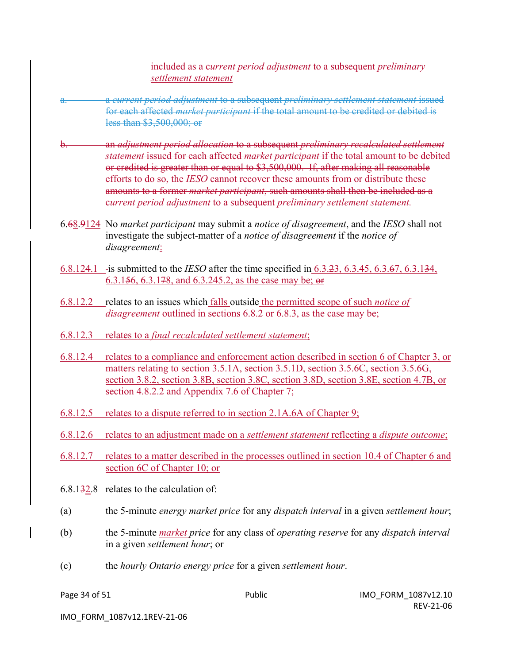included as a c*urrent period adjustment* to a subsequent *preliminary settlement statement*

- a. a *current period adjustment* to a subsequent *preliminary settlement statement* issued for each affected *market participant* if the total amount to be credited or debited is less than \$3,500,000; or
- b. an *adjustment period allocation* to a subsequent *preliminary recalculated settlement statement* issued for each affected *market participant* if the total amount to be debited or credited is greater than or equal to \$3,500,000. If, after making all reasonable efforts to do so, the *IESO* cannot recover these amounts from or distribute these amounts to a former *market participant*, such amounts shall then be included as a c*urrent period adjustment* to a subsequent *preliminary settlement statement.*
- 6.68.9124 No *market participant* may submit a *notice of disagreement*, and the *IESO* shall not investigate the subject-matter of a *notice of disagreement* if the *notice of disagreement*:
- 6.8.124.1 is submitted to the *IESO* after the time specified in 6.3.23, 6.3.45, 6.3.67, 6.3.134, 6.3.156, 6.3.178, and 6.3.245.2, as the case may be; or
- 6.8.12.2 relates to an issues which falls outside the permitted scope of such *notice of disagreement* outlined in sections 6.8.2 or 6.8.3, as the case may be;
- 6.8.12.3 relates to a *final recalculated settlement statement*;
- 6.8.12.4 relates to a compliance and enforcement action described in section 6 of Chapter 3, or matters relating to section 3.5.1A, section 3.5.1D, section 3.5.6C, section 3.5.6G, section 3.8.2, section 3.8B, section 3.8C, section 3.8D, section 3.8E, section 4.7B, or section 4.8.2.2 and Appendix 7.6 of Chapter 7;
- 6.8.12.5 relates to a dispute referred to in section 2.1A.6A of Chapter 9;
- 6.8.12.6 relates to an adjustment made on a *settlement statement* reflecting a *dispute outcome*;
- 6.8.12.7 relates to a matter described in the processes outlined in section 10.4 of Chapter 6 and section 6C of Chapter 10; or
- 6.8.132.8 relates to the calculation of:
- (a) the 5-minute *energy market price* for any *dispatch interval* in a given *settlement hour*;
- (b) the 5-minute *market price* for any class of *operating reserve* for any *dispatch interval* in a given *settlement hour*; or
- (c) the *hourly Ontario energy price* for a given *settlement hour*.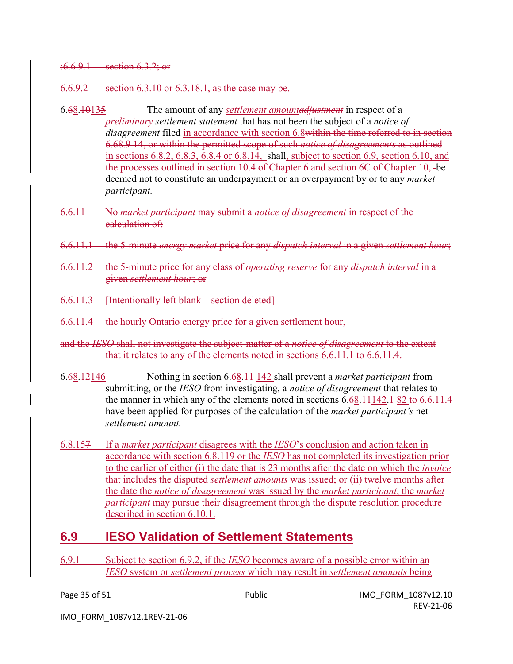#### :6.6.9.1 section 6.3.2; or

6.6.9.2 section 6.3.10 or 6.3.18.1, as the case may be.

- 6.68.10135 The amount of any *settlement amountadjustment* in respect of a *preliminary settlement statement* that has not been the subject of a *notice of disagreement* filed in accordance with section 6.8within the time referred to in section 6.68.9 14, or within the permitted scope of such *notice of disagreements* as outlined in sections 6.8.2, 6.8.3, 6.8.4 or 6.8.14, shall, subject to section 6.9, section 6.10, and the processes outlined in section 10.4 of Chapter 6 and section 6C of Chapter 10, be deemed not to constitute an underpayment or an overpayment by or to any *market participant.*
- 6.6.11 No *market participant* may submit a *notice of disagreement* in respect of the calculation of:
- 6.6.11.1 the 5-minute *energy market* price for any *dispatch interval* in a given *settlement hour*;
- 6.6.11.2 the 5-minute price for any class of *operating reserve* for any *dispatch interval* in a given *settlement hour*; or
- 6.6.11.3 [Intentionally left blank section deleted]
- 6.6.11.4 the hourly Ontario energy price for a given settlement hour,
- and the *IESO* shall not investigate the subject-matter of a *notice of disagreement* to the extent that it relates to any of the elements noted in sections 6.6.11.1 to 6.6.11.4.
- 6.68.12146 Nothing in section 6.68.11 142 shall prevent a *market participant* from submitting, or the *IESO* from investigating, a *notice of disagreement* that relates to the manner in which any of the elements noted in sections  $6.68,11142,182$  to  $6.6,11.4$ have been applied for purposes of the calculation of the *market participant's* net *settlement amount.*
- 6.8.157 If a *market participant* disagrees with the *IESO*'s conclusion and action taken in accordance with section 6.8.119 or the *IESO* has not completed its investigation prior to the earlier of either (i) the date that is 23 months after the date on which the *invoice* that includes the disputed *settlement amounts* was issued; or (ii) twelve months after the date the *notice of disagreement* was issued by the *market participant*, the *market participant* may pursue their disagreement through the dispute resolution procedure described in section 6.10.1.

### **6.9 IESO Validation of Settlement Statements**

6.9.1 Subject to section 6.9.2, if the *IESO* becomes aware of a possible error within an *IESO* system or *settlement process* which may result in *settlement amounts* being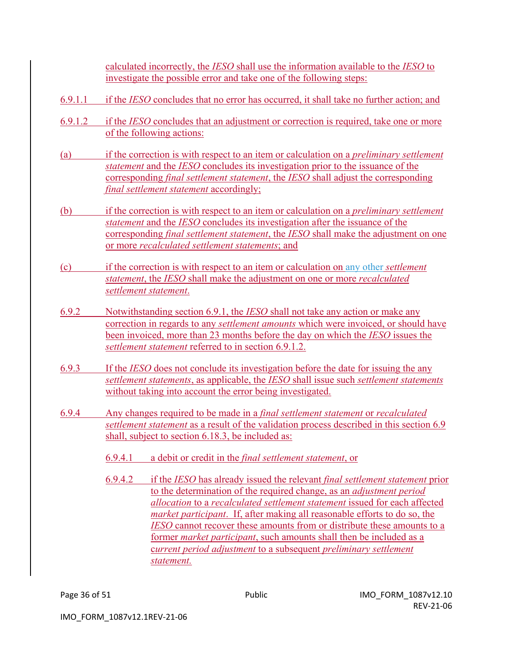calculated incorrectly, the *IESO* shall use the information available to the *IESO* to investigate the possible error and take one of the following steps:

- 6.9.1.1 if the *IESO* concludes that no error has occurred, it shall take no further action; and
- 6.9.1.2 if the *IESO* concludes that an adjustment or correction is required, take one or more of the following actions:
- (a) if the correction is with respect to an item or calculation on a *preliminary settlement statement* and the *IESO* concludes its investigation prior to the issuance of the corresponding *final settlement statement*, the *IESO* shall adjust the corresponding *final settlement statement* accordingly;
- (b) if the correction is with respect to an item or calculation on a *preliminary settlement statement* and the *IESO* concludes its investigation after the issuance of the corresponding *final settlement statement*, the *IESO* shall make the adjustment on one or more *recalculated settlement statements*; and
- (c) if the correction is with respect to an item or calculation on any other *settlement statement*, the *IESO* shall make the adjustment on one or more *recalculated settlement statement*.
- 6.9.2 Notwithstanding section 6.9.1, the *IESO* shall not take any action or make any correction in regards to any *settlement amounts* which were invoiced, or should have been invoiced, more than 23 months before the day on which the *IESO* issues the *settlement statement* referred to in section 6.9.1.2.
- 6.9.3 If the *IESO* does not conclude its investigation before the date for issuing the any *settlement statements*, as applicable, the *IESO* shall issue such *settlement statements* without taking into account the error being investigated.
- 6.9.4 Any changes required to be made in a *final settlement statement* or *recalculated settlement statement* as a result of the validation process described in this section 6.9 shall, subject to section 6.18.3, be included as:
	- 6.9.4.1 a debit or credit in the *final settlement statement*, or
	- 6.9.4.2 if the *IESO* has already issued the relevant *final settlement statement* prior to the determination of the required change, as an *adjustment period allocation* to a *recalculated settlement statement* issued for each affected *market participant*. If, after making all reasonable efforts to do so, the *IESO* cannot recover these amounts from or distribute these amounts to a former *market participant*, such amounts shall then be included as a c*urrent period adjustment* to a subsequent *preliminary settlement statement.*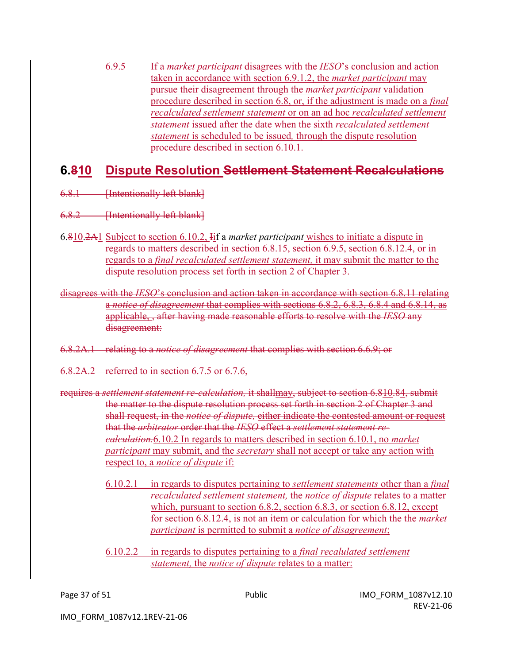6.9.5 If a *market participant* disagrees with the *IESO*'s conclusion and action taken in accordance with section 6.9.1.2, the *market participant* may pursue their disagreement through the *market participant* validation procedure described in section 6.8, or, if the adjustment is made on a *final recalculated settlement statement* or on an ad hoc *recalculated settlement statement* issued after the date when the sixth *recalculated settlement statement* is scheduled to be issued*,* through the dispute resolution procedure described in section 6.10.1.

### **6.810 Dispute Resolution Settlement Statement Recalculations**

- 6.8.1 **Intentionally left blank**]
- 6.8.2 **Intentionally left blank**
- 6.810.2A1 Subject to section 6.10.2, Iif a *market participant* wishes to initiate a dispute in regards to matters described in section 6.8.15, section 6.9.5, section 6.8.12.4, or in regards to a *final recalculated settlement statement,* it may submit the matter to the dispute resolution process set forth in section 2 of Chapter 3.
- disagrees with the *IESO*'s conclusion and action taken in accordance with section 6.8.11 relating a *notice of disagreement* that complies with sections 6.8.2, 6.8.3, 6.8.4 and 6.8.14, as applicable, , after having made reasonable efforts to resolve with the *IESO* any disagreement:
- 6.8.2A.1 relating to a *notice of disagreement* that complies with section 6.6.9; or
- 6.8.2A.2 referred to in section 6.7.5 or 6.7.6,
- requires a *settlement statement re-calculation,* it shallmay, subject to section 6.810.84, submit the matter to the dispute resolution process set forth in section 2 of Chapter 3 and shall request, in the *notice of dispute,* either indicate the contested amount or request that the *arbitrator* order that the *IESO* effect a *settlement statement recalculation.*6.10.2 In regards to matters described in section 6.10.1, no *market participant* may submit, and the *secretary* shall not accept or take any action with respect to, a *notice of dispute* if:
	- 6.10.2.1 in regards to disputes pertaining to *settlement statements* other than a *final recalculated settlement statement,* the *notice of dispute* relates to a matter which, pursuant to section 6.8.2, section 6.8.3, or section 6.8.12, except for section 6.8.12.4, is not an item or calculation for which the the *market participant* is permitted to submit a *notice of disagreement*;
	- 6.10.2.2 in regards to disputes pertaining to a *final recalulated settlement statement,* the *notice of dispute* relates to a matter: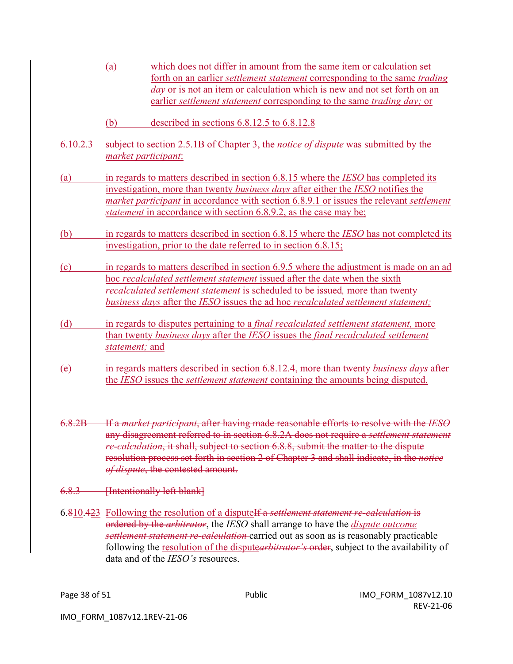- (a) which does not differ in amount from the same item or calculation set forth on an earlier *settlement statement* corresponding to the same *trading day* or is not an item or calculation which is new and not set forth on an earlier *settlement statement* corresponding to the same *trading day;* or
- (b) described in sections 6.8.12.5 to 6.8.12.8
- 6.10.2.3 subject to section 2.5.1B of Chapter 3, the *notice of dispute* was submitted by the *market participant*:
- (a) in regards to matters described in section 6.8.15 where the *IESO* has completed its investigation, more than twenty *business days* after either the *IESO* notifies the *market participant* in accordance with section 6.8.9.1 or issues the relevant *settlement statement* in accordance with section 6.8.9.2, as the case may be;
- (b) in regards to matters described in section 6.8.15 where the *IESO* has not completed its investigation, prior to the date referred to in section 6.8.15;
- (c) in regards to matters described in section 6.9.5 where the adjustment is made on an ad hoc *recalculated settlement statement* issued after the date when the sixth *recalculated settlement statement* is scheduled to be issued*,* more than twenty *business days* after the *IESO* issues the ad hoc *recalculated settlement statement;*
- (d) in regards to disputes pertaining to a *final recalculated settlement statement,* more than twenty *business days* after the *IESO* issues the *final recalculated settlement statement;* and
- (e) in regards matters described in section 6.8.12.4, more than twenty *business days* after the *IESO* issues the *settlement statement* containing the amounts being disputed.
- 6.8.2B If a *market participant*, after having made reasonable efforts to resolve with the *IESO* any disagreement referred to in section 6.8.2A does not require a *settlement statement re-calculation*, it shall, subject to section 6.8.8, submit the matter to the dispute resolution process set forth in section 2 of Chapter 3 and shall indicate, in the *notice of dispute*, the contested amount.
- 6.8.3 **Intentionally left blank**]
- 6.810.423 Following the resolution of a disputeIf a *settlement statement re-calculation* is ordered by the *arbitrator*, the *IESO* shall arrange to have the *dispute outcome settlement statement re-calculation* carried out as soon as is reasonably practicable following the resolution of the dispute*arbitrator's* order, subject to the availability of data and of the *IESO's* resources.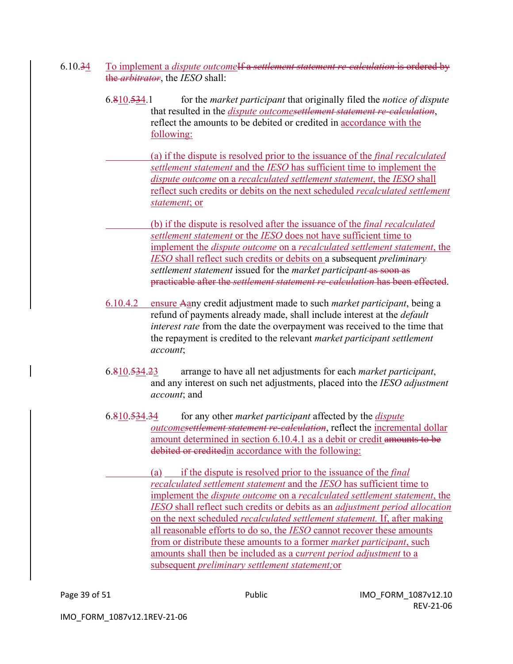- 6.10.34 To implement a *dispute outcome*If a *settlement statement re-calculation* is ordered by the *arbitrator*, the *IESO* shall:
	- 6.810.534.1 for the *market participant* that originally filed the *notice of dispute* that resulted in the *dispute outcomesettlement statement re-calculation*, reflect the amounts to be debited or credited in accordance with the following:
		- (a) if the dispute is resolved prior to the issuance of the *final recalculated settlement statement* and the *IESO* has sufficient time to implement the *dispute outcome* on a *recalculated settlement statement*, the *IESO* shall reflect such credits or debits on the next scheduled *recalculated settlement statement*; or

(b) if the dispute is resolved after the issuance of the *final recalculated settlement statement* or the *IESO* does not have sufficient time to implement the *dispute outcome* on a *recalculated settlement statement*, the *IESO* shall reflect such credits or debits on a subsequent *preliminary settlement statement* issued for the *market participant* as soon as practicable after the *settlement statement re-calculation* has been effected.

- 6.10.4.2 ensure Aany credit adjustment made to such *market participant*, being a refund of payments already made, shall include interest at the *default interest rate* from the date the overpayment was received to the time that the repayment is credited to the relevant *market participant settlement account*;
- 6.810.534.23 arrange to have all net adjustments for each *market participant*, and any interest on such net adjustments, placed into the *IESO adjustment account*; and
- 6.810.534.34 for any other *market participant* affected by the *dispute outcomesettlement statement re-calculation*, reflect the incremental dollar amount determined in section 6.10.4.1 as a debit or credit amounts to be debited or creditedin accordance with the following:
	- (a) if the dispute is resolved prior to the issuance of the *final recalculated settlement statement* and the *IESO* has sufficient time to implement the *dispute outcome* on a *recalculated settlement statement*, the *IESO* shall reflect such credits or debits as an *adjustment period allocation* on the next scheduled *recalculated settlement statement.* If, after making all reasonable efforts to do so, the *IESO* cannot recover these amounts from or distribute these amounts to a former *market participant*, such amounts shall then be included as a c*urrent period adjustment* to a subsequent *preliminary settlement statement;*or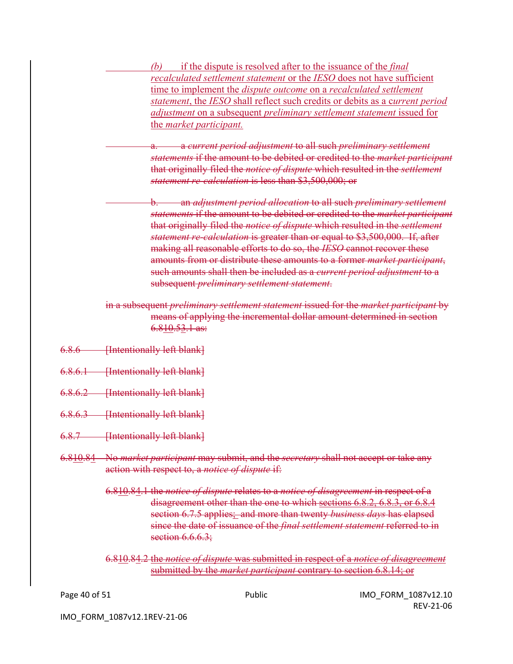*(b)* if the dispute is resolved after to the issuance of the *final recalculated settlement statement* or the *IESO* does not have sufficient time to implement the *dispute outcome* on a *recalculated settlement statement*, the *IESO* shall reflect such credits or debits as a c*urrent period adjustment* on a subsequent *preliminary settlement statement* issued for the *market participant.*

a. a *current period adjustment* to all such *preliminary settlement statements* if the amount to be debited or credited to the *market participant* that originally filed the *notice of dispute* which resulted in the *settlement statement re-calculation* is less than \$3,500,000; or

b. an *adjustment period allocation* to all such *preliminary settlement statements* if the amount to be debited or credited to the *market participant* that originally filed the *notice of dispute* which resulted in the *settlement statement re-calculation* is greater than or equal to \$3,500,000. If, after making all reasonable efforts to do so, the *IESO* cannot recover these amounts from or distribute these amounts to a former *market participant*, such amounts shall then be included as a *current period adjustment* to a subsequent *preliminary settlement statement*.

in a subsequent *preliminary settlement statement* issued for the *market participant* by means of applying the incremental dollar amount determined in section 6.810.53.1 as:

- 6.8.6 [Intentionally left blank]
- 6.8.6.1 [Intentionally left blank]
- 6.8.6.2 [Intentionally left blank]
- 6.8.6.3 [Intentionally left blank]
- 6.8.7 [Intentionally left blank]
- 6.810.84 No *market participant* may submit, and the *secretary* shall not accept or take any action with respect to, a *notice of dispute* if:
	- 6.810.84.1 the *notice of dispute* relates to a *notice of disagreement* in respect of a disagreement other than the one to which sections 6.8.2, 6.8.3, or 6.8.4 section 6.7.5 applies; and more than twenty *business days* has elapsed since the date of issuance of the *final settlement statement* referred to in section  $6.6.6.3$ ;

6.810.84.2 the *notice of dispute* was submitted in respect of a *notice of disagreement* submitted by the *market participant* contrary to section 6.8.14; or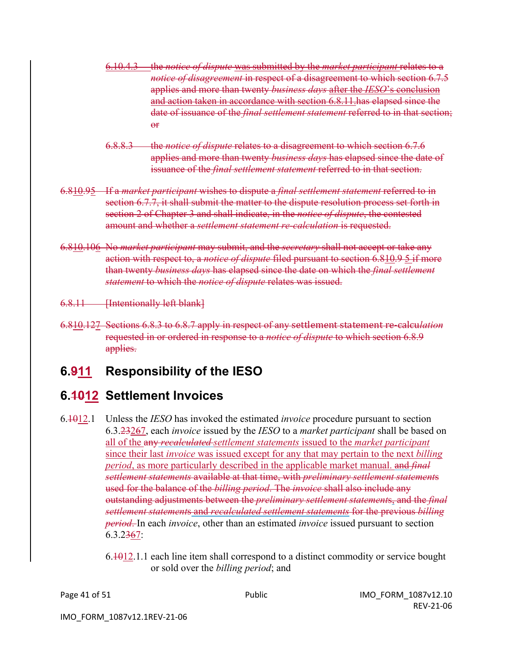- 6.10.4.3 the *notice of dispute* was submitted by the *market participant* relates to a *notice of disagreement* in respect of a disagreement to which section 6.7.5 applies and more than twenty *business days* after the *IESO*'s conclusion and action taken in accordance with section 6.8.11.has elapsed since the date of issuance of the *final settlement statement* referred to in that section; or
- 6.8.8.3 the *notice of dispute* relates to a disagreement to which section 6.7.6 applies and more than twenty *business days* has elapsed since the date of issuance of the *final settlement statement* referred to in that section.
- 6.810.95 If a *market participant* wishes to dispute a *final settlement statement* referred to in section 6.7.7, it shall submit the matter to the dispute resolution process set forth in section 2 of Chapter 3 and shall indicate, in the *notice of dispute*, the contested amount and whether a *settlement statement re-calculation* is requested.
- 6.810.106 No *market participant* may submit, and the *secretary* shall not accept or take any action with respect to, a *notice of dispute* filed pursuant to section 6.810.9 5 if more than twenty *business days* has elapsed since the date on which the *final settlement statement* to which the *notice of dispute* relates was issued.

6.8.11 [Intentionally left blank]

6.810.127 Sections 6.8.3 to 6.8.7 apply in respect of any settlement statement re-calcu*lation* requested in or ordered in response to a *notice of dispute* to which section 6.8.9 applies.

# **6.911 Responsibility of the IESO**

### **6.1012 Settlement Invoices**

- 6.1012.1 Unless the *IESO* has invoked the estimated *invoice* procedure pursuant to section 6.3.23267, each *invoice* issued by the *IESO* to a *market participant* shall be based on all of the any *recalculated settlement statements* issued to the *market participant* since their last *invoice* was issued except for any that may pertain to the next *billing period*, as more particularly described in the applicable market manual. and *final settlement statements* available at that time, with *preliminary settlement statement*s used for the balance of the *billing period*. The *invoice* shall also include any outstanding adjustments between the *preliminary settlement statement*s, and the *final settlement statement*s and *recalculated settlement statements* for the previous *billing period*. In each *invoice*, other than an estimated *invoice* issued pursuant to section 6.3.2367:
	- $6.1012.1.1$  each line item shall correspond to a distinct commodity or service bought or sold over the *billing period*; and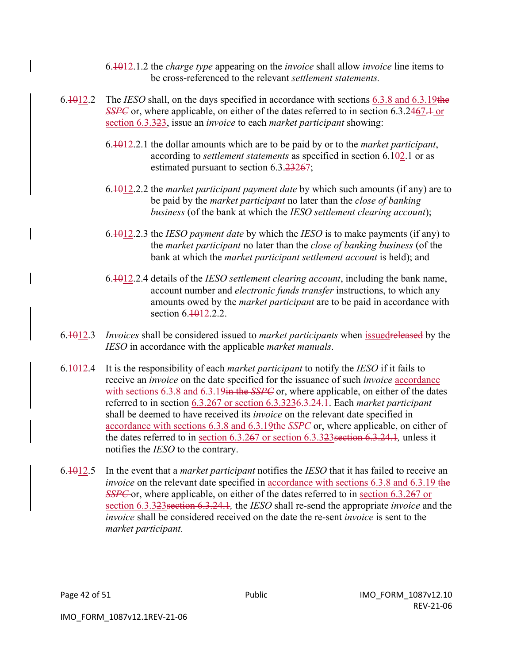- 6.1012.1.2 the *charge type* appearing on the *invoice* shall allow *invoice* line items to be cross-referenced to the relevant *settlement statements.*
- 6.1012.2 The *IESO* shall, on the days specified in accordance with sections 6.3.8 and 6.3.19the *SSPC* or, where applicable, on either of the dates referred to in section 6.3.2467.<sup>1</sup> or section 6.3.323, issue an *invoice* to each *market participant* showing:
	- 6.1012.2.1 the dollar amounts which are to be paid by or to the *market participant*, according to *settlement statements* as specified in section 6.102.1 or as estimated pursuant to section 6.3.23267;
	- 6.1012.2.2 the *market participant payment date* by which such amounts (if any) are to be paid by the *market participant* no later than the *close of banking business* (of the bank at which the *IESO settlement clearing account*);
	- 6.1012.2.3 the *IESO payment date* by which the *IESO* is to make payments (if any) to the *market participant* no later than the *close of banking business* (of the bank at which the *market participant settlement account* is held); and
	- 6.1012.2.4 details of the *IESO settlement clearing account*, including the bank name, account number and *electronic funds transfer* instructions, to which any amounts owed by the *market participant* are to be paid in accordance with section 6.1012.2.2.
- 6.1012.3 *Invoices* shall be considered issued to *market participants* when issuedreleased by the *IESO* in accordance with the applicable *market manuals*.
- 6.1012.4 It is the responsibility of each *market participant* to notify the *IESO* if it fails to receive an *invoice* on the date specified for the issuance of such *invoice* accordance with sections 6.3.8 and 6.3.19in the *SSPC* or, where applicable, on either of the dates referred to in section 6.3.267 or section 6.3.3236.3.24.1. Each *market participant*  shall be deemed to have received its *invoice* on the relevant date specified in accordance with sections 6.3.8 and 6.3.19the *SSPC* or, where applicable, on either of the dates referred to in section 6.3.267 or section 6.3.323section 6.3.24.1*,* unless it notifies the *IESO* to the contrary.
- 6.1012.5 In the event that a *market participant* notifies the *IESO* that it has failed to receive an *invoice* on the relevant date specified in accordance with sections 6.3.8 and 6.3.19 the *SSPC* or, where applicable, on either of the dates referred to in section 6.3.267 or section 6.3.323section 6.3.24.1*,* the *IESO* shall re-send the appropriate *invoice* and the *invoice* shall be considered received on the date the re-sent *invoice* is sent to the *market participant.*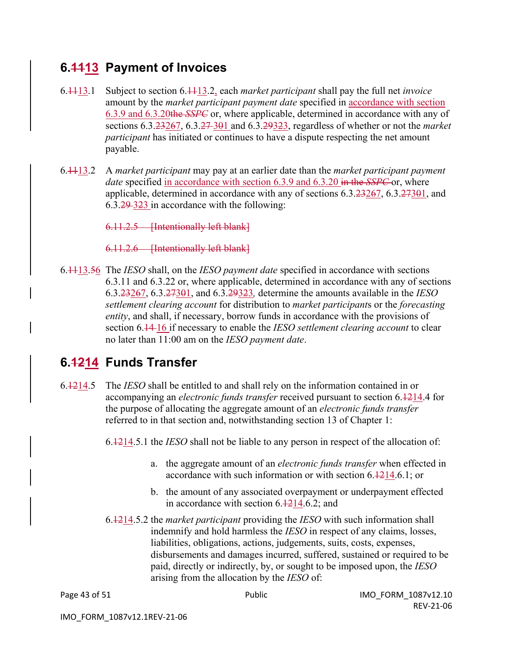### **6.1113 Payment of Invoices**

- 6.1113.1 Subject to section 6.1113.2, each *market participant* shall pay the full net *invoice* amount by the *market participant payment date* specified in accordance with section 6.3.9 and 6.3.20the *SSPC* or, where applicable, determined in accordance with any of sections 6.3.23267, 6.3.27 301 and 6.3.29323, regardless of whether or not the *market participant* has initiated or continues to have a dispute respecting the net amount payable.
- 6.1113.2 A *market participant* may pay at an earlier date than the *market participant payment date* specified in accordance with section 6.3.9 and 6.3.20 in the *SSPC* or, where applicable, determined in accordance with any of sections  $6.3.23267$ ,  $6.3.27301$ , and 6.3.29 323 in accordance with the following:

6.11.2.5 **[Intentionally left blank]** 

6.11.2.6 [Intentionally left blank]

6.1113.56 The *IESO* shall, on the *IESO payment date* specified in accordance with sections 6.3.11 and 6.3.22 or, where applicable, determined in accordance with any of sections 6.3.23267, 6.3.27301, and 6.3.29323*,* determine the amounts available in the *IESO settlement clearing account* for distribution to *market participant*s or the *forecasting entity*, and shall, if necessary, borrow funds in accordance with the provisions of section 6.14 16 if necessary to enable the *IESO settlement clearing account* to clear no later than 11:00 am on the *IESO payment date*.

# **6.1214 Funds Transfer**

6.1214.5 The *IESO* shall be entitled to and shall rely on the information contained in or accompanying an *electronic funds transfer* received pursuant to section 6.1214.4 for the purpose of allocating the aggregate amount of an *electronic funds transfer*  referred to in that section and, notwithstanding section 13 of Chapter 1:

6.1214.5.1 the *IESO* shall not be liable to any person in respect of the allocation of:

- a. the aggregate amount of an *electronic funds transfer* when effected in accordance with such information or with section 6.1214.6.1; or
- b. the amount of any associated overpayment or underpayment effected in accordance with section 6.1214.6.2; and
- 6.1214.5.2 the *market participant* providing the *IESO* with such information shall indemnify and hold harmless the *IESO* in respect of any claims, losses, liabilities, obligations, actions, judgements, suits, costs, expenses, disbursements and damages incurred, suffered, sustained or required to be paid, directly or indirectly, by, or sought to be imposed upon, the *IESO*  arising from the allocation by the *IESO* of: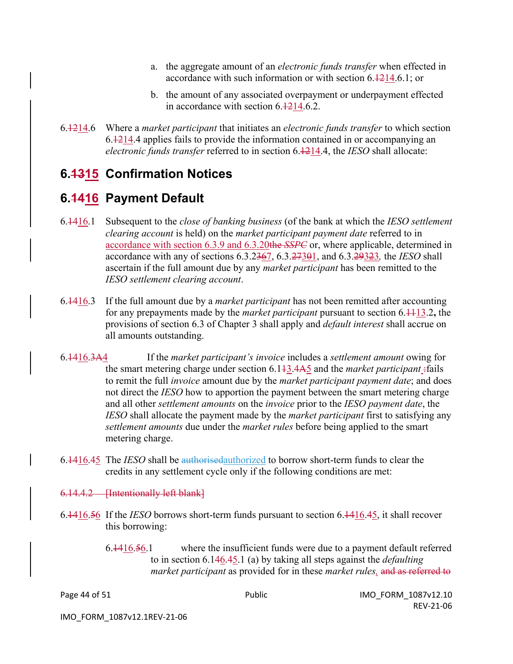- a. the aggregate amount of an *electronic funds transfer* when effected in accordance with such information or with section 6.1214.6.1; or
- b. the amount of any associated overpayment or underpayment effected in accordance with section 6.1214.6.2.
- 6.1214.6 Where a *market participant* that initiates an *electronic funds transfer* to which section 6.1214.4 applies fails to provide the information contained in or accompanying an *electronic funds transfer* referred to in section 6.1214.4, the *IESO* shall allocate:

## **6.1315 Confirmation Notices**

## **6.1416 Payment Default**

- 6.1416.1 Subsequent to the *close of banking business* (of the bank at which the *IESO settlement clearing account* is held) on the *market participant payment date* referred to in accordance with section 6.3.9 and 6.3.20the *SSPC* or, where applicable, determined in accordance with any of sections 6.3.2367, 6.3.27301, and 6.3.29323*,* the *IESO* shall ascertain if the full amount due by any *market participant* has been remitted to the *IESO settlement clearing account*.
- 6.1416.3 If the full amount due by a *market participant* has not been remitted after accounting for any prepayments made by the *market participant* pursuant to section 6.1113.2**,** the provisions of section 6.3 of Chapter 3 shall apply and *default interest* shall accrue on all amounts outstanding.
- 6.1416.3A4 If the *market participant's invoice* includes a *settlement amount* owing for the smart metering charge under section 6.1<del>13.4A5</del> and the *market participant* :fails to remit the full *invoice* amount due by the *market participant payment date*; and does not direct the *IESO* how to apportion the payment between the smart metering charge and all other *settlement amounts* on the *invoice* prior to the *IESO payment date*, the *IESO* shall allocate the payment made by the *market participant* first to satisfying any *settlement amounts* due under the *market rules* before being applied to the smart metering charge.
- 6.1416.45 The *IESO* shall be authorisedauthorized to borrow short-term funds to clear the credits in any settlement cycle only if the following conditions are met:

6.14.4.2 [Intentionally left blank]

- 6.1416.56 If the *IESO* borrows short-term funds pursuant to section 6.1416.45, it shall recover this borrowing:
	- 6.1416.56.1 where the insufficient funds were due to a payment default referred to in section 6.146.45.1 (a) by taking all steps against the *defaulting market participant* as provided for in these *market rules,* and as referred to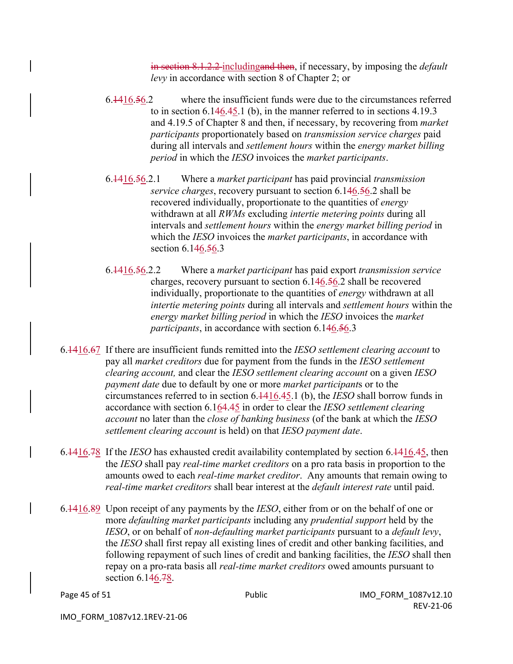in section 8.1.2.2 includingand then, if necessary, by imposing the *default levy* in accordance with section 8 of Chapter 2; or

- 6.1416.56.2 where the insufficient funds were due to the circumstances referred to in section 6.146.45.1 (b), in the manner referred to in sections 4.19.3 and 4.19.5 of Chapter 8 and then, if necessary, by recovering from *market participants* proportionately based on *transmission service charges* paid during all intervals and *settlement hours* within the *energy market billing period* in which the *IESO* invoices the *market participants*.
- 6.1416.56.2.1 Where a *market participant* has paid provincial *transmission service charges*, recovery pursuant to section 6.146.56.2 shall be recovered individually, proportionate to the quantities of *energy*  withdrawn at all *RWMs* excluding *intertie metering points* during all intervals and *settlement hours* within the *energy market billing period* in which the *IESO* invoices the *market participants*, in accordance with section 6.146.56.3
- 6.1416.56.2.2 Where a *market participant* has paid export *transmission service* charges, recovery pursuant to section 6.146.56.2 shall be recovered individually, proportionate to the quantities of *energy* withdrawn at all *intertie metering points* during all intervals and *settlement hours* within the *energy market billing period* in which the *IESO* invoices the *market participants*, in accordance with section 6.146.56.3
- 6.1416.67 If there are insufficient funds remitted into the *IESO settlement clearing account* to pay all *market creditors* due for payment from the funds in the *IESO settlement clearing account,* and clear the *IESO settlement clearing account* on a given *IESO payment date* due to default by one or more *market participant*s or to the circumstances referred to in section 6.1416.45.1 (b), the *IESO* shall borrow funds in accordance with section 6.164.45 in order to clear the *IESO settlement clearing account* no later than the *close of banking business* (of the bank at which the *IESO settlement clearing account* is held) on that *IESO payment date*.
- 6.1416.78 If the *IESO* has exhausted credit availability contemplated by section 6.1416.45, then the *IESO* shall pay *real-time market creditors* on a pro rata basis in proportion to the amounts owed to each *real-time market creditor*. Any amounts that remain owing to *real-time market creditors* shall bear interest at the *default interest rate* until paid.
- 6.1416.89 Upon receipt of any payments by the *IESO*, either from or on the behalf of one or more *defaulting market participants* including any *prudential support* held by the *IESO*, or on behalf of *non-defaulting market participants* pursuant to a *default levy*, the *IESO* shall first repay all existing lines of credit and other banking facilities, and following repayment of such lines of credit and banking facilities, the *IESO* shall then repay on a pro-rata basis all *real-time market creditors* owed amounts pursuant to section 6.146.78.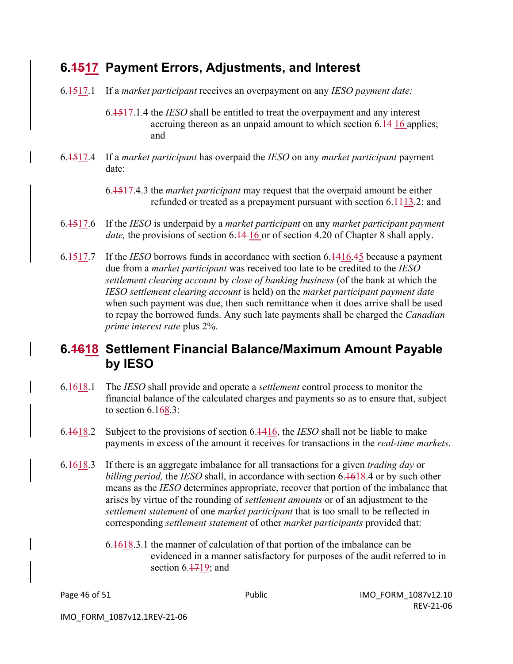### **6.1517 Payment Errors, Adjustments, and Interest**

6.1517.1 If a *market participant* receives an overpayment on any *IESO payment date:*

6.1517.1.4 the *IESO* shall be entitled to treat the overpayment and any interest accruing thereon as an unpaid amount to which section 6.14-16 applies; and

- 6.1517.4 If a *market participant* has overpaid the *IESO* on any *market participant* payment date:
	- 6.1517.4.3 the *market participant* may request that the overpaid amount be either refunded or treated as a prepayment pursuant with section  $6.4413.2$ ; and
- 6.1517.6 If the *IESO* is underpaid by a *market participant* on any *market participant payment date*, the provisions of section 6.14-16 or of section 4.20 of Chapter 8 shall apply.
- 6.1517.7 If the *IESO* borrows funds in accordance with section 6.1416.45 because a payment due from a *market participant* was received too late to be credited to the *IESO settlement clearing account* by *close of banking business* (of the bank at which the *IESO settlement clearing account* is held) on the *market participant payment date* when such payment was due, then such remittance when it does arrive shall be used to repay the borrowed funds. Any such late payments shall be charged the *Canadian prime interest rate* plus 2%.

### **6.1618 Settlement Financial Balance/Maximum Amount Payable by IESO**

- 6.1618.1 The *IESO* shall provide and operate a *settlement* control process to monitor the financial balance of the calculated charges and payments so as to ensure that, subject to section  $6.168.3$ :
- 6.1618.2 Subject to the provisions of section 6.1416, the *IESO* shall not be liable to make payments in excess of the amount it receives for transactions in the *real-time markets*.
- 6.1618.3 If there is an aggregate imbalance for all transactions for a given *trading day* or *billing period,* the *IESO* shall, in accordance with section 6.1618.4 or by such other means as the *IESO* determines appropriate, recover that portion of the imbalance that arises by virtue of the rounding of *settlement amounts* or of an adjustment to the *settlement statement* of one *market participant* that is too small to be reflected in corresponding *settlement statement* of other *market participants* provided that:
	- 6.1618.3.1 the manner of calculation of that portion of the imbalance can be evidenced in a manner satisfactory for purposes of the audit referred to in section  $6.1719$ ; and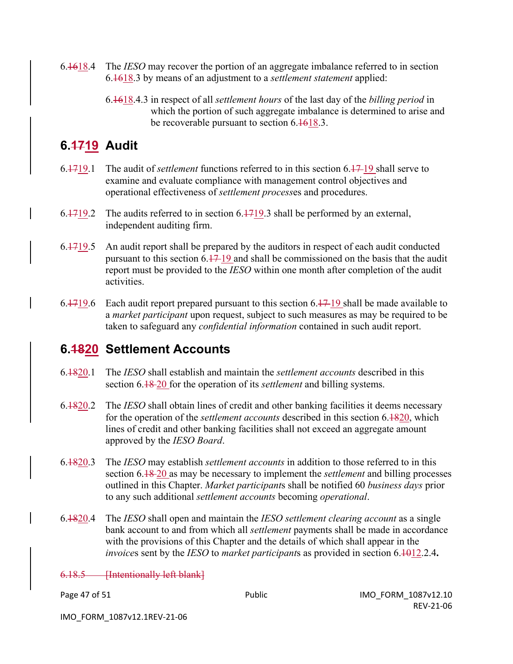- 6.1618.4 The *IESO* may recover the portion of an aggregate imbalance referred to in section 6.1618.3 by means of an adjustment to a *settlement statement* applied:
	- 6.1618.4.3 in respect of all *settlement hours* of the last day of the *billing period* in which the portion of such aggregate imbalance is determined to arise and be recoverable pursuant to section 6.1618.3.

# **6.1719 Audit**

- 6.1719.1 The audit of *settlement* functions referred to in this section 6.17 19 shall serve to examine and evaluate compliance with management control objectives and operational effectiveness of *settlement process*es and procedures.
- 6.1719.2 The audits referred to in section 6.1719.3 shall be performed by an external, independent auditing firm.
- 6.1719.5 An audit report shall be prepared by the auditors in respect of each audit conducted pursuant to this section  $6.17-19$  and shall be commissioned on the basis that the audit report must be provided to the *IESO* within one month after completion of the audit activities.
- 6.4719.6 Each audit report prepared pursuant to this section  $6.47-19$  shall be made available to a *market participant* upon request, subject to such measures as may be required to be taken to safeguard any *confidential information* contained in such audit report.

### **6.1820 Settlement Accounts**

- 6.1820.1 The *IESO* shall establish and maintain the *settlement accounts* described in this section 6.18 20 for the operation of its *settlement* and billing systems.
- 6.1820.2 The *IESO* shall obtain lines of credit and other banking facilities it deems necessary for the operation of the *settlement accounts* described in this section 6.1820, which lines of credit and other banking facilities shall not exceed an aggregate amount approved by the *IESO Board*.
- 6.1820.3 The *IESO* may establish *settlement accounts* in addition to those referred to in this section 6.18 20 as may be necessary to implement the *settlement* and billing processes outlined in this Chapter. *Market participant*s shall be notified 60 *business days* prior to any such additional *settlement accounts* becoming *operational*.
- 6.1820.4 The *IESO* shall open and maintain the *IESO settlement clearing account* as a single bank account to and from which all *settlement* payments shall be made in accordance with the provisions of this Chapter and the details of which shall appear in the *invoice*s sent by the *IESO* to *market participant*s as provided in section 6.1012.2.4**.**

6.18.5 [Intentionally left blank]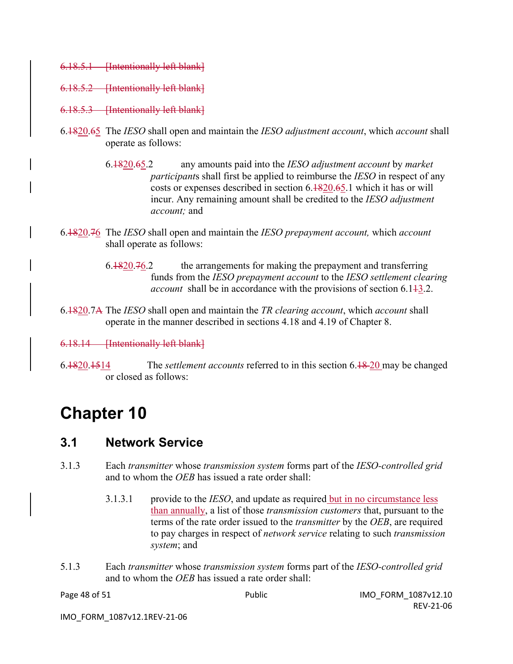- 6.18.5.1 [Intentionally left blank]
- 6.18.5.2 [Intentionally left blank]
- 6.18.5.3 [Intentionally left blank]
- 6.1820.65 The *IESO* shall open and maintain the *IESO adjustment account*, which *account* shall operate as follows:
	- 6.1820.65.2 any amounts paid into the *IESO adjustment account* by *market participant*s shall first be applied to reimburse the *IESO* in respect of any costs or expenses described in section 6.1820.65.1 which it has or will incur. Any remaining amount shall be credited to the *IESO adjustment account;* and
- 6.1820.76 The *IESO* shall open and maintain the *IESO prepayment account,* which *account* shall operate as follows:
	- $6.1820.76.2$  the arrangements for making the prepayment and transferring funds from the *IESO prepayment account* to the *IESO settlement clearing account* shall be in accordance with the provisions of section 6.143.2.
- 6.1820.7A The *IESO* shall open and maintain the *TR clearing account*, which *account* shall operate in the manner described in sections 4.18 and 4.19 of Chapter 8.
- 6.18.14 [Intentionally left blank]
- 6.1820.1514 The *settlement accounts* referred to in this section 6.18 20 may be changed or closed as follows:

# **Chapter 10**

#### **3.1 Network Service**

- 3.1.3 Each *transmitter* whose *transmission system* forms part of the *IESO-controlled grid*  and to whom the *OEB* has issued a rate order shall:
	- 3.1.3.1 provide to the *IESO*, and update as required but in no circumstance less than annually, a list of those *transmission customers* that, pursuant to the terms of the rate order issued to the *transmitter* by the *OEB*, are required to pay charges in respect of *network service* relating to such *transmission system*; and
- 5.1.3 Each *transmitter* whose *transmission system* forms part of the *IESO-controlled grid*  and to whom the *OEB* has issued a rate order shall: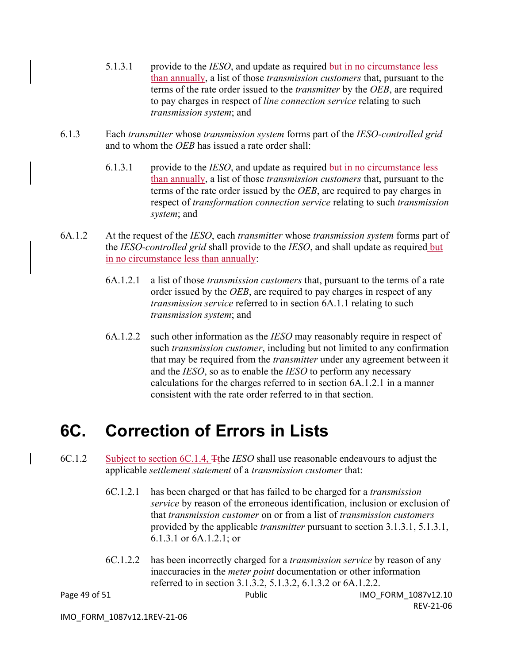- 5.1.3.1 provide to the *IESO*, and update as required but in no circumstance less than annually, a list of those *transmission customers* that, pursuant to the terms of the rate order issued to the *transmitter* by the *OEB*, are required to pay charges in respect of *line connection service* relating to such *transmission system*; and
- 6.1.3 Each *transmitter* whose *transmission system* forms part of the *IESO-controlled grid*  and to whom the *OEB* has issued a rate order shall:
	- 6.1.3.1 provide to the *IESO*, and update as required but in no circumstance less than annually, a list of those *transmission customers* that, pursuant to the terms of the rate order issued by the *OEB*, are required to pay charges in respect of *transformation connection service* relating to such *transmission system*; and
- 6A.1.2 At the request of the *IESO*, each *transmitter* whose *transmission system* forms part of the *IESO-controlled grid* shall provide to the *IESO*, and shall update as required but in no circumstance less than annually:
	- 6A.1.2.1 a list of those *transmission customers* that, pursuant to the terms of a rate order issued by the *OEB*, are required to pay charges in respect of any *transmission service* referred to in section 6A.1.1 relating to such *transmission system*; and
	- 6A.1.2.2 such other information as the *IESO* may reasonably require in respect of such *transmission customer*, including but not limited to any confirmation that may be required from the *transmitter* under any agreement between it and the *IESO*, so as to enable the *IESO* to perform any necessary calculations for the charges referred to in section 6A.1.2.1 in a manner consistent with the rate order referred to in that section.

# **6C. Correction of Errors in Lists**

- 6C.1.2 Subject to section 6C.1.4, Tthe *IESO* shall use reasonable endeavours to adjust the applicable *settlement statement* of a *transmission customer* that:
	- 6C.1.2.1 has been charged or that has failed to be charged for a *transmission service* by reason of the erroneous identification, inclusion or exclusion of that *transmission customer* on or from a list of *transmission customers*  provided by the applicable *transmitter* pursuant to section 3.1.3.1, 5.1.3.1, 6.1.3.1 or 6A.1.2.1; or
	- 6C.1.2.2 has been incorrectly charged for a *transmission service* by reason of any inaccuracies in the *meter point* documentation or other information referred to in section 3.1.3.2, 5.1.3.2, 6.1.3.2 or 6A.1.2.2.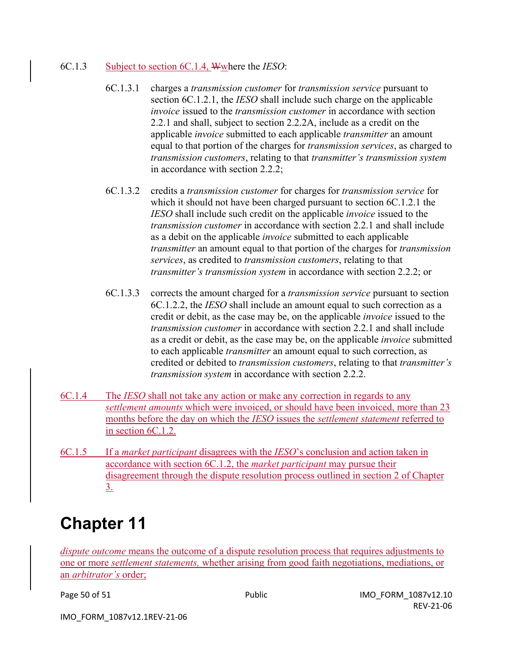#### 6C.1.3 Subject to section 6C.1.4, Wwhere the *IESO*:

- 6C.1.3.1 charges a *transmission customer* for *transmission service* pursuant to section 6C.1.2.1, the *IESO* shall include such charge on the applicable *invoice* issued to the *transmission customer* in accordance with section 2.2.1 and shall, subject to section 2.2.2A, include as a credit on the applicable *invoice* submitted to each applicable *transmitter* an amount equal to that portion of the charges for *transmission services*, as charged to *transmission customers*, relating to that *transmitter's transmission system*  in accordance with section 2.2.2;
- 6C.1.3.2 credits a *transmission customer* for charges for *transmission service* for which it should not have been charged pursuant to section 6C.1.2.1 the *IESO* shall include such credit on the applicable *invoice* issued to the *transmission customer* in accordance with section 2.2.1 and shall include as a debit on the applicable *invoice* submitted to each applicable *transmitter* an amount equal to that portion of the charges for *transmission services*, as credited to *transmission customers*, relating to that *transmitter's transmission system* in accordance with section 2.2.2; or
- 6C.1.3.3 corrects the amount charged for a *transmission service* pursuant to section 6C.1.2.2, the *IESO* shall include an amount equal to such correction as a credit or debit, as the case may be, on the applicable *invoice* issued to the *transmission customer* in accordance with section 2.2.1 and shall include as a credit or debit, as the case may be, on the applicable *invoice* submitted to each applicable *transmitter* an amount equal to such correction, as credited or debited to *transmission customers*, relating to that *transmitter's transmission system* in accordance with section 2.2.2.
- 6C.1.4 The *IESO* shall not take any action or make any correction in regards to any *settlement amounts* which were invoiced, or should have been invoiced, more than 23 months before the day on which the *IESO* issues the *settlement statement* referred to in section 6C.1.2.
- 6C.1.5 If a *market participant* disagrees with the *IESO*'s conclusion and action taken in accordance with section 6C.1.2, the *market participant* may pursue their disagreement through the dispute resolution process outlined in section 2 of Chapter 3.

# **Chapter 11**

*dispute outcome* means the outcome of a dispute resolution process that requires adjustments to one or more *settlement statements,* whether arising from good faith negotiations, mediations, or an *arbitrator's* order;